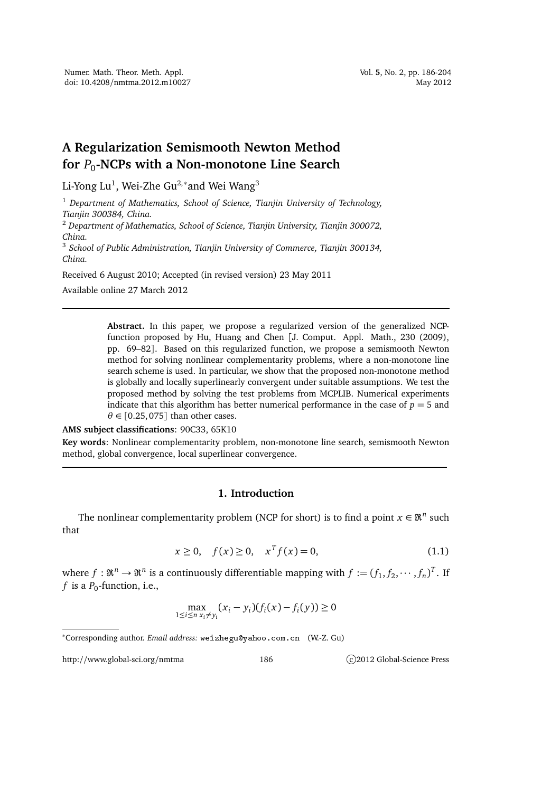# **A Regularization Semismooth Newton Method for** *P*<sup>0</sup> **-NCPs with a Non-monotone Line Search**

Li-Yong Lu $^1$ , Wei-Zhe Gu $^{2,\ast}$ and Wei Wang $^3$ 

<sup>1</sup> *Department of Mathematics, School of Science, Tianjin University of Technology, Tianjin 300384, China.*

<sup>2</sup> *Department of Mathematics, School of Science, Tianjin University, Tianjin 300072, China.*

<sup>3</sup> *School of Public Administration, Tianjin University of Commerce, Tianjin 300134, China.*

Received 6 August 2010; Accepted (in revised version) 23 May 2011

Available online 27 March 2012

**Abstract.** In this paper, we propose a regularized version of the generalized NCPfunction proposed by Hu, Huang and Chen [J. Comput. Appl. Math., 230 (2009), pp. 69–82]. Based on this regularized function, we propose a semismooth Newton method for solving nonlinear complementarity problems, where a non-monotone line search scheme is used. In particular, we show that the proposed non-monotone method is globally and locally superlinearly convergent under suitable assumptions. We test the proposed method by solving the test problems from MCPLIB. Numerical experiments indicate that this algorithm has better numerical performance in the case of  $p = 5$  and  $\theta \in [0.25, 075]$  than other cases.

#### **AMS subject classifications**: 90C33, 65K10

**Key words**: Nonlinear complementarity problem, non-monotone line search, semismooth Newton method, global convergence, local superlinear convergence.

## **1. Introduction**

The nonlinear complementarity problem (NCP for short) is to find a point  $x \in \Re^n$  such that

$$
x \ge 0, \quad f(x) \ge 0, \quad x^T f(x) = 0,
$$
\n(1.1)

where  $f: \mathfrak{R}^n \to \mathfrak{R}^n$  is a continuously differentiable mapping with  $f:=(f_1, f_2, \cdots, f_n)^T$ . If  $f$  is a  $P_0$ -function, i.e.,

$$
\max_{1 \le i \le n} (x_i - y_i)(f_i(x) - f_i(y)) \ge 0
$$

http://www.global-sci.org/nmtma 186 c)2012 Global-Science Press

<sup>∗</sup>Corresponding author. *Email address:* weizheguyahoo.
om.
n (W.-Z. Gu)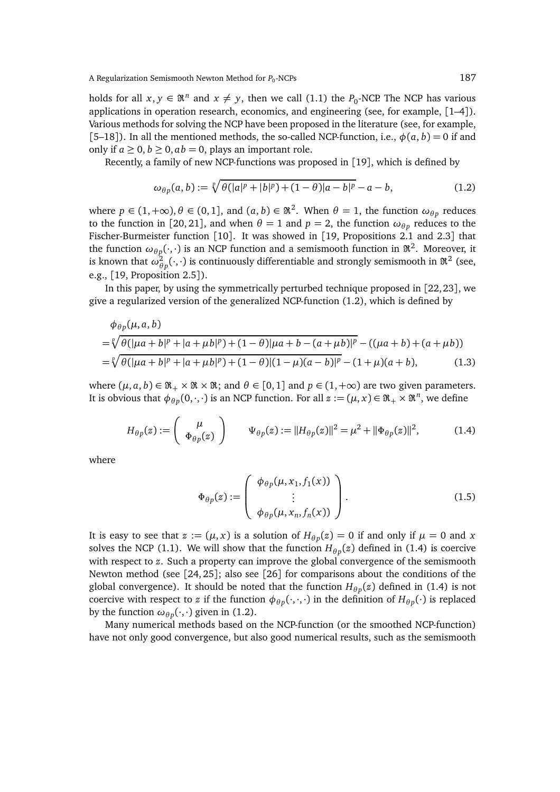holds for all  $x, y \in \mathfrak{R}^n$  and  $x \neq y$ , then we call (1.1) the *P*<sub>0</sub>-NCP. The NCP has various applications in operation research, economics, and engineering (see, for example, [1–4]). Various methods for solving the NCP have been proposed in the literature (see, for example, [5–18]). In all the mentioned methods, the so-called NCP-function, i.e.,  $\phi(a, b) = 0$  if and only if  $a \geq 0$ ,  $b \geq 0$ ,  $ab = 0$ , plays an important role.

Recently, a family of new NCP-functions was proposed in [19], which is defined by

$$
\omega_{\theta p}(a, b) := \sqrt[p]{\theta(|a|^p + |b|^p) + (1 - \theta)|a - b|^p} - a - b,\tag{1.2}
$$

where  $p \in (1, +\infty)$ ,  $\theta \in (0, 1]$ , and  $(a, b) \in \mathbb{R}^2$ . When  $\theta = 1$ , the function  $\omega_{\theta p}$  reduces to the function in [20, 21], and when  $θ = 1$  and  $p = 2$ , the function  $ω_{θp}$  reduces to the Fischer-Burmeister function [10]. It was showed in [19, Propositions 2.1 and 2.3] that the function  $\omega_{\theta p}(\cdot,\cdot)$  is an NCP function and a semismooth function in  $\mathfrak{R}^2$ . Moreover, it is known that  $\omega^2_{\theta p}(\cdot,\cdot)$  is continuously differentiable and strongly semismooth in  $\Re^2$  (see, e.g., [19, Proposition 2.5]).

In this paper, by using the symmetrically perturbed technique proposed in  $[22, 23]$ , we give a regularized version of the generalized NCP-function (1.2), which is defined by

$$
\phi_{\theta p}(\mu, a, b)
$$
\n
$$
= \sqrt[p]{\theta(|\mu a + b|^p + |a + \mu b|^p) + (1 - \theta)|\mu a + b - (a + \mu b)|^p} - ((\mu a + b) + (a + \mu b))
$$
\n
$$
= \sqrt[p]{\theta(|\mu a + b|^p + |a + \mu b|^p) + (1 - \theta)(1 - \mu)(a - b)|^p} - (1 + \mu)(a + b),
$$
\n(1.3)

where  $(\mu, a, b) \in \mathfrak{R}_+ \times \mathfrak{R} \times \mathfrak{R}$ ; and  $\theta \in [0, 1]$  and  $p \in (1, +\infty)$  are two given parameters. It is obvious that  $\phi_{\theta p}(0,\cdot,\cdot)$  is an NCP function. For all  $z:=(\mu,x)\in\mathfrak{R}_+\times\mathfrak{R}^n$ , we define

$$
H_{\theta p}(z) := \begin{pmatrix} \mu \\ \Phi_{\theta p}(z) \end{pmatrix} \qquad \Psi_{\theta p}(z) := ||H_{\theta p}(z)||^2 = \mu^2 + ||\Phi_{\theta p}(z)||^2, \tag{1.4}
$$

where

$$
\Phi_{\theta p}(z) := \begin{pmatrix} \phi_{\theta p}(\mu, x_1, f_1(x)) \\ \vdots \\ \phi_{\theta p}(\mu, x_n, f_n(x)) \end{pmatrix} .
$$
\n(1.5)

It is easy to see that  $z := (\mu, x)$  is a solution of  $H_{\theta p}(z) = 0$  if and only if  $\mu = 0$  and  $x$ solves the NCP (1.1). We will show that the function  $H_{\theta p}(z)$  defined in (1.4) is coercive with respect to *z*. Such a property can improve the global convergence of the semismooth Newton method (see [24, 25]; also see [26] for comparisons about the conditions of the global convergence). It should be noted that the function  $H_{\theta p}(z)$  defined in (1.4) is not coercive with respect to *z* if the function  $\phi_{\theta p}(\cdot,\cdot,\cdot)$  in the definition of  $H_{\theta p}(\cdot)$  is replaced by the function  $\omega_{\theta p}(\cdot,\cdot)$  given in (1.2).

Many numerical methods based on the NCP-function (or the smoothed NCP-function) have not only good convergence, but also good numerical results, such as the semismooth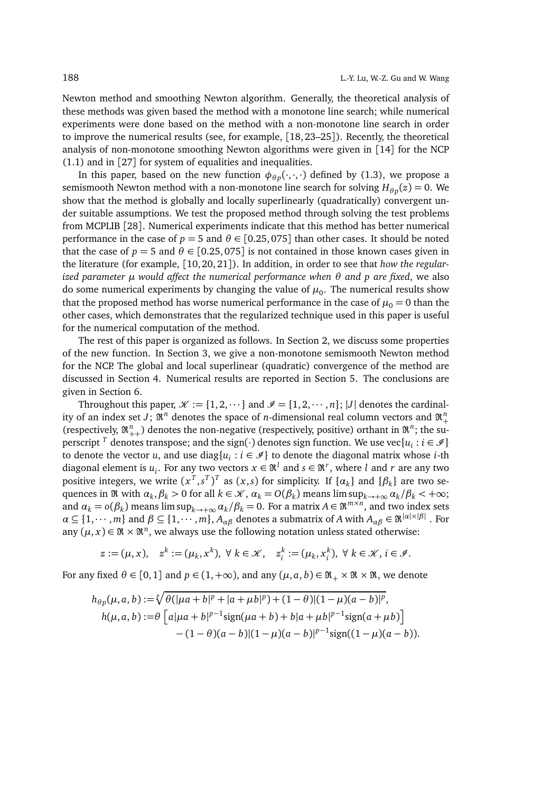Newton method and smoothing Newton algorithm. Generally, the theoretical analysis of these methods was given based the method with a monotone line search; while numerical experiments were done based on the method with a non-monotone line search in order to improve the numerical results (see, for example, [18, 23–25]). Recently, the theoretical analysis of non-monotone smoothing Newton algorithms were given in [14] for the NCP (1.1) and in [27] for system of equalities and inequalities.

In this paper, based on the new function  $\phi_{\theta p}(\cdot,\cdot,\cdot)$  defined by (1.3), we propose a semismooth Newton method with a non-monotone line search for solving  $H_{\theta p}(z) = 0$ . We show that the method is globally and locally superlinearly (quadratically) convergent under suitable assumptions. We test the proposed method through solving the test problems from MCPLIB [28]. Numerical experiments indicate that this method has better numerical performance in the case of  $p = 5$  and  $\theta \in [0.25, 0.075]$  than other cases. It should be noted that the case of  $p = 5$  and  $\theta \in [0.25, 075]$  is not contained in those known cases given in the literature (for example, [10, 20, 21]). In addition, in order to see that *how the regularized parameter µ would affect the numerical performance when θ and p are fixed*, we also do some numerical experiments by changing the value of  $\mu_0$ . The numerical results show that the proposed method has worse numerical performance in the case of  $\mu_0 = 0$  than the other cases, which demonstrates that the regularized technique used in this paper is useful for the numerical computation of the method.

The rest of this paper is organized as follows. In Section 2, we discuss some properties of the new function. In Section 3, we give a non-monotone semismooth Newton method for the NCP. The global and local superlinear (quadratic) convergence of the method are discussed in Section 4. Numerical results are reported in Section 5. The conclusions are given in Section 6.

Throughout this paper,  $\mathcal{K} := \{1, 2, \dots\}$  and  $\mathcal{I} = \{1, 2, \dots, n\}$ ; |J| denotes the cardinality of an index set *J*;  $\mathfrak{R}^n$  denotes the space of *n*-dimensional real column vectors and  $\mathfrak{R}^n_+$ (respectively,  $\mathfrak{R}_{++}^n$ ) denotes the non-negative (respectively, positive) orthant in  $\mathfrak{R}^n$ ; the superscript <sup>*T*</sup> denotes transpose; and the sign( $\cdot$ ) denotes sign function. We use vec{ $u_i : i \in \mathcal{I}$ } to denote the vector *u*, and use diag $\{u_i : i \in \mathscr{I}\}$  to denote the diagonal matrix whose *i*-th diagonal element is  $u_i$ . For any two vectors  $x \in \mathfrak{R}^l$  and  $s \in \mathfrak{R}^r$ , where *l* and *r* are any two positive integers, we write  $(x^T, s^T)^T$  as  $(x, s)$  for simplicity. If  $\{\alpha_k\}$  and  $\{\beta_k\}$  are two se- $\alpha_k$  (*a*)  $\alpha_k$  and  $\alpha_k$ ,  $\beta_k$  > 0 for all  $k \in \mathcal{K}$ ,  $\alpha_k = O(\beta_k)$  means  $\limsup_{k \to +\infty} \alpha_k / \beta_k$  <  $+\infty$ ; and  $\alpha_k = o(\beta_k)$  means  $\limsup_{k \to +\infty} \alpha_k / \beta_k = 0$ . For a matrix  $A \in \mathbb{R}^{m \times n}$ , and two index sets  $\alpha \subseteq \{1,\cdots,m\}$  and  $\beta \subseteq \{1,\cdots,m\}$ ,  $A_{\alpha\beta}$  denotes a submatrix of *A* with  $A_{\alpha\beta} \in \mathfrak{R}^{|a|\times|\beta|}$  . For any  $(\mu, x) \in \mathfrak{R} \times \mathfrak{R}^n$ , we always use the following notation unless stated otherwise:

$$
z := (\mu, x), \quad z^k := (\mu_k, x^k), \ \forall \ k \in \mathcal{K}, \quad z_i^k := (\mu_k, x_i^k), \ \forall \ k \in \mathcal{K}, i \in \mathcal{I}.
$$

For any fixed  $\theta \in [0, 1]$  and  $p \in (1, +\infty)$ , and any  $(\mu, a, b) \in \mathbb{R}_+ \times \mathbb{R} \times \mathbb{R}$ , we denote

$$
h_{\theta p}(\mu, a, b) := \sqrt[p]{\theta(|\mu a + b|^p + |a + \mu b|^p) + (1 - \theta)(1 - \mu)(a - b)^p},
$$
  
\n
$$
h(\mu, a, b) := \theta \left[ a|\mu a + b|^{p-1} \text{sign}(\mu a + b) + b|a + \mu b|^{p-1} \text{sign}(a + \mu b) \right]
$$
  
\n
$$
- (1 - \theta)(a - b)(1 - \mu)(a - b)|^{p-1} \text{sign}((1 - \mu)(a - b)).
$$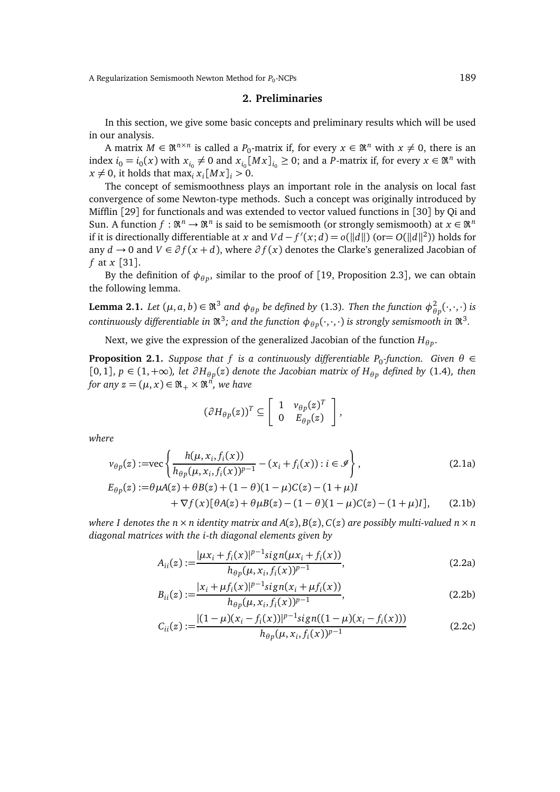A Regularization Semismooth Newton Method for  $P_0$ -NCPs -NCPs 189

## **2. Preliminaries**

In this section, we give some basic concepts and preliminary results which will be used in our analysis.

A matrix  $M \in \mathfrak{R}^{n \times n}$  is called a  $P_0$ -matrix if, for every  $x \in \mathfrak{R}^n$  with  $x \neq 0$ , there is an index  $i_0 = i_0(x)$  with  $x_{i_0} \neq 0$  and  $x_{i_0}[Mx]_{i_0} \geq 0$ ; and a *P*-matrix if, for every  $x \in \mathbb{R}^n$  with  $x \neq 0$ , it holds that max<sub>*i*</sub>  $x_i$ [*M x*]*<sub>i</sub>* > 0.

The concept of semismoothness plays an important role in the analysis on local fast convergence of some Newton-type methods. Such a concept was originally introduced by Mifflin [29] for functionals and was extended to vector valued functions in [30] by Qi and Sun. A function  $f: \mathfrak{R}^n \to \mathfrak{R}^n$  is said to be semismooth (or strongly semismooth) at  $x \in \mathfrak{R}^n$ if it is directionally differentiable at *x* and *V d* − *f*'(*x*; *d*) = *o*(||*d*||) (or= *O*(||*d*||<sup>2</sup>)) holds for any *d* → 0 and *V* ∈  $\partial f(x + d)$ , where  $\partial f(x)$  denotes the Clarke's generalized Jacobian of *f* at *x* [31].

By the definition of  $\phi_{\theta p}$ , similar to the proof of [19, Proposition 2.3], we can obtain the following lemma.

**Lemma 2.1.** *Let*  $(\mu, a, b) \in \Re^3$  and  $\phi_{\theta p}$  be defined by (1.3). Then the function  $\phi_{\theta}^2$ *θ p* (·,·,·) *is*  $f$  continuously differentiable in  $\mathfrak{R}^3$ ; and the function  $\phi_{\theta p}(\cdot,\cdot,\cdot)$  is strongly semismooth in  $\mathfrak{R}^3$ .

Next, we give the expression of the generalized Jacobian of the function  $H_{\theta p}.$ 

**Proposition 2.1.** *Suppose that f is a continuously differentiable P<sub>0</sub>-function. Given θ* ∈ [0,1],  $p$  ∈ (1,+∞), let  $\partial H_{\theta p}(z)$  denote the Jacobian matrix of  $H_{\theta p}$  defined by (1.4), then *for any*  $z = (\mu, x) \in \Reals_+ \times \Re^n$ , we have

$$
(\partial H_{\theta p}(z))^T \subseteq \left[\begin{array}{cc} 1 & v_{\theta p}(z)^T \\ 0 & E_{\theta p}(z) \end{array}\right],
$$

*where*

$$
\nu_{\theta p}(z) := \text{vec}\left\{\frac{h(\mu, x_i, f_i(x))}{h_{\theta p}(\mu, x_i, f_i(x))^{p-1}} - (x_i + f_i(x)) : i \in \mathcal{I}\right\},\tag{2.1a}
$$
\n
$$
E_{\theta p}(z) := \theta \mu A(z) + \theta B(z) + (1 - \theta)(1 - \mu)C(z) - (1 + \mu)I + \nabla f(x)[\theta A(z) + \theta \mu B(z) - (1 - \theta)(1 - \mu)C(z) - (1 + \mu)I],\tag{2.1b}
$$

*where I denotes the n*  $\times$  *n identity matrix and A*(*z*), *B*(*z*), *C*(*z*) *are possibly multi-valued n*  $\times$  *n diagonal matrices with the i-th diagonal elements given by*

$$
A_{ii}(z) := \frac{|\mu x_i + f_i(x)|^{p-1} sign(\mu x_i + f_i(x))}{h_{\theta p}(\mu, x_i, f_i(x))^{p-1}},
$$
\n(2.2a)

$$
B_{ii}(z) := \frac{|x_i + \mu f_i(x)|^{p-1} sign(x_i + \mu f_i(x))}{h_{\theta p}(\mu, x_i, f_i(x))^{p-1}},
$$
\n(2.2b)

$$
C_{ii}(z) := \frac{|(1-\mu)(x_i - f_i(x))|^{p-1} sign((1-\mu)(x_i - f_i(x)))}{h_{\theta p}(\mu, x_i, f_i(x))^{p-1}}
$$
(2.2c)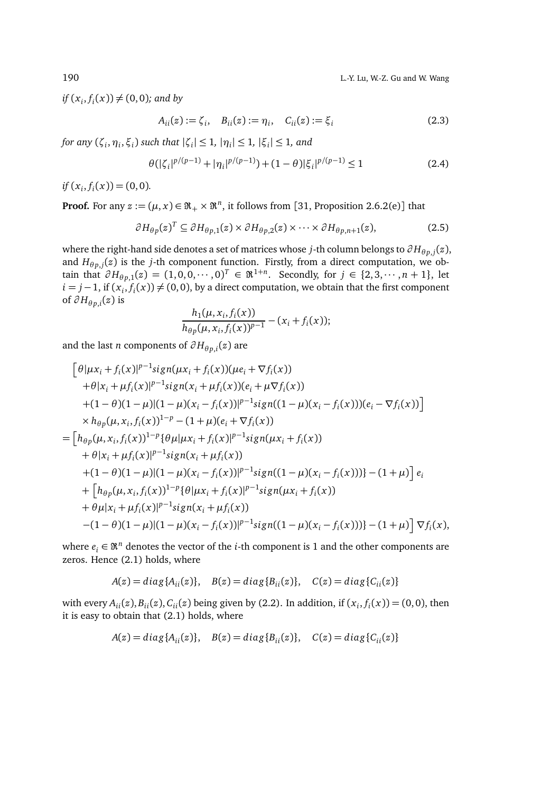$if(x_i, f_i(x)) \neq (0, 0)$ *;* and by

$$
A_{ii}(z) := \zeta_i, \quad B_{ii}(z) := \eta_i, \quad C_{ii}(z) := \zeta_i
$$
\n(2.3)

*for any*  $(\zeta_i, \eta_i, \xi_i)$  such that  $|\zeta_i| \leq 1$ ,  $|\eta_i| \leq 1$ ,  $|\xi_i| \leq 1$ , and

$$
\theta(|\zeta_i|^{p/(p-1)} + |\eta_i|^{p/(p-1)}) + (1-\theta)|\xi_i|^{p/(p-1)} \le 1
$$
\n(2.4)

*if*  $(x_i, f_i(x)) = (0, 0)$ *.* 

**Proof.** For any  $z := (\mu, x) \in \mathfrak{R}_+ \times \mathfrak{R}^n$ , it follows from [31, Proposition 2.6.2(e)] that

$$
\partial H_{\theta p}(z)^T \subseteq \partial H_{\theta p,1}(z) \times \partial H_{\theta p,2}(z) \times \cdots \times \partial H_{\theta p,n+1}(z),\tag{2.5}
$$

where the right-hand side denotes a set of matrices whose *j*-th column belongs to  $\partial H_{\theta p,j}(z)$ , and  $H_{\theta p,j}(z)$  is the *j*-th component function. Firstly, from a direct computation, we obtain that  $∂H_{θp,1}(z) = (1,0,0,\cdots,0)^T ∈ \Re^{1+n}$ . Secondly, for  $j ∈ {2,3,\cdots,n+1}$ , let *i* = *j* − 1, if  $(x_i, f_i(x)) \neq (0, 0)$ , by a direct computation, we obtain that the first component of  $∂H_{θp,i}(z)$  is

$$
\frac{h_1(\mu, x_i, f_i(x))}{h_{\theta p}(\mu, x_i, f_i(x))^{p-1}} - (x_i + f_i(x));
$$

and the last *n* components of  $\partial H_{\theta p,i}(z)$  are

$$
\begin{aligned}\n&\left[\theta|\mu x_i + f_i(x)|^{p-1}sign(\mu x_i + f_i(x))(\mu e_i + \nabla f_i(x))\right. \\
&\left. + \theta|x_i + \mu f_i(x)|^{p-1}sign(x_i + \mu f_i(x)) (e_i + \mu \nabla f_i(x)) \\
&+ (1 - \theta)(1 - \mu)(1 - \mu)(x_i - f_i(x))|^{p-1}sign((1 - \mu)(x_i - f_i(x)))(e_i - \nabla f_i(x))\right] \\
&\times h_{\theta p}(\mu, x_i, f_i(x))^{1-p} - (1 + \mu)(e_i + \nabla f_i(x)) \\
&= \left[h_{\theta p}(\mu, x_i, f_i(x))^{1-p}\{\theta\mu|\mu x_i + f_i(x)|^{p-1}sign(\mu x_i + f_i(x))\right. \\
&\left. + \theta|x_i + \mu f_i(x)|^{p-1}sign(x_i + \mu f_i(x))\right. \\
&\left. + (1 - \theta)(1 - \mu)(1 - \mu)(x_i - f_i(x))|^{p-1}sign((1 - \mu)(x_i - f_i(x)))\right\} - (1 + \mu)\right]e_i \\
&+ \left[h_{\theta p}(\mu, x_i, f_i(x))^{1-p}\{\theta|\mu x_i + f_i(x)|^{p-1}sign(\mu x_i + f_i(x))\right. \\
&\left. + \theta\mu|x_i + \mu f_i(x)|^{p-1}sign(x_i + \mu f_i(x))\right. \\
&\left. - (1 - \theta)(1 - \mu)(1 - \mu)(x_i - f_i(x))|^{p-1}sign((1 - \mu)(x_i - f_i(x)))\right\} - (1 + \mu)\right]\nabla f_i(x),\n\end{aligned}
$$

where  $e_i \in \mathbb{R}^n$  denotes the vector of the *i*-th component is 1 and the other components are zeros. Hence (2.1) holds, where

$$
A(z) = diag\{A_{ii}(z)\}, \quad B(z) = diag\{B_{ii}(z)\}, \quad C(z) = diag\{C_{ii}(z)\}
$$

with every  $A_{ii}(z)$ ,  $B_{ii}(z)$ ,  $C_{ii}(z)$  being given by (2.2). In addition, if  $(x_i, f_i(x)) = (0, 0)$ , then it is easy to obtain that (2.1) holds, where

$$
A(z) = diag\{A_{ii}(z)\}, \quad B(z) = diag\{B_{ii}(z)\}, \quad C(z) = diag\{C_{ii}(z)\}
$$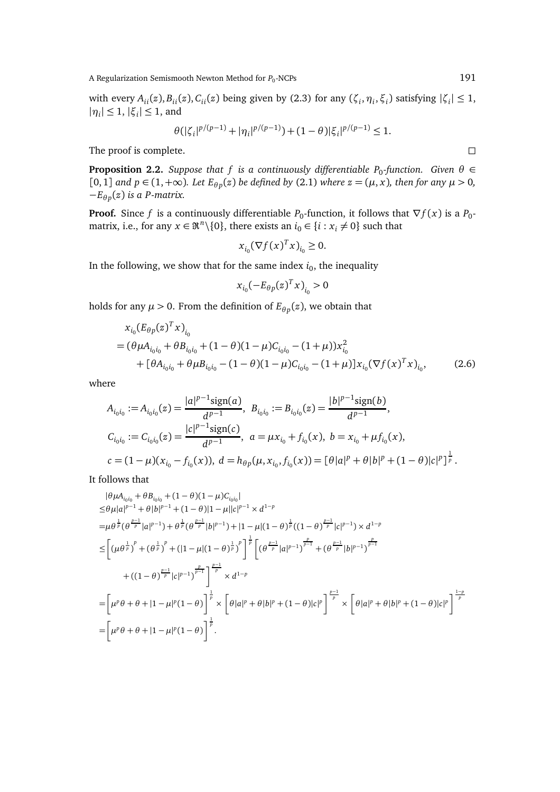A Regularization Semismooth Newton Method for  $P_0$ -NCPs  $191$ 

with every  $A_{ii}(z), B_{ii}(z), C_{ii}(z)$  being given by (2.3) for any  $(\zeta_i, \eta_i, \zeta_i)$  satisfying  $|\zeta_i| \leq 1$ ,  $|\eta_i| \leq 1, |\xi_i| \leq 1$ , and

$$
\theta(|\zeta_i|^{p/(p-1)} + |\eta_i|^{p/(p-1)}) + (1-\theta)|\xi_i|^{p/(p-1)} \le 1.
$$

The proof is complete.

**Proposition 2.2.** *Suppose that f is a continuously differentiable P<sub>0</sub>-function. Given*  $\theta \in$ [0, 1] and *p* ∈ (1, +∞). Let  $E_{\theta p}(z)$  be defined by (2.1) where  $z = (μ, x)$ , then for any  $μ > 0$ , −*E<sup>θ</sup> <sup>p</sup>* (*z*) *is a P-matrix.*

**Proof.** Since *f* is a continuously differentiable  $P_0$ -function, it follows that  $\nabla f(x)$  is a  $P_0$ matrix, i.e., for any  $x \in \mathbb{R}^n \setminus \{0\}$ , there exists an  $i_0 \in \{i : x_i \neq 0\}$  such that

$$
x_{i_0}(\nabla f(x)^T x)_{i_0} \ge 0.
$$

In the following, we show that for the same index  $i_0$ , the inequality

$$
x_{i_0}(-E_{\theta p}(z)^T x)_{i_0} > 0
$$

holds for any  $\mu > 0$ . From the definition of  $E_{\theta p}(z)$ , we obtain that

$$
x_{i_0}(E_{\theta p}(z)^T x)_{i_0}
$$
  
=  $(\theta \mu A_{i_0 i_0} + \theta B_{i_0 i_0} + (1 - \theta)(1 - \mu)C_{i_0 i_0} - (1 + \mu))x_{i_0}^2$   
+  $[\theta A_{i_0 i_0} + \theta \mu B_{i_0 i_0} - (1 - \theta)(1 - \mu)C_{i_0 i_0} - (1 + \mu)]x_{i_0}(\nabla f(x)^T x)_{i_0},$  (2.6)

where

$$
A_{i_0i_0} := A_{i_0i_0}(z) = \frac{|a|^{p-1}\text{sign}(a)}{d^{p-1}}, \ B_{i_0i_0} := B_{i_0i_0}(z) = \frac{|b|^{p-1}\text{sign}(b)}{d^{p-1}},
$$
  
\n
$$
C_{i_0i_0} := C_{i_0i_0}(z) = \frac{|c|^{p-1}\text{sign}(c)}{d^{p-1}}, \ a = \mu x_{i_0} + f_{i_0}(x), \ b = x_{i_0} + \mu f_{i_0}(x),
$$
  
\n
$$
c = (1 - \mu)(x_{i_0} - f_{i_0}(x)), \ d = h_{\theta p}(\mu, x_{i_0}, f_{i_0}(x)) = [\theta|a|^p + \theta|b|^p + (1 - \theta)|c|^p]^{\frac{1}{p}}.
$$

It follows that

$$
|\theta\mu A_{i_0i_0} + \theta B_{i_0i_0} + (1-\theta)(1-\mu)C_{i_0i_0}|
$$
  
\n
$$
\leq \theta\mu|a|^{p-1} + \theta|b|^{p-1} + (1-\theta)|1-\mu||c|^{p-1} \times d^{1-p}
$$
  
\n
$$
= \mu\theta^{\frac{1}{p}}(\theta^{\frac{p-1}{p}}|a|^{p-1}) + \theta^{\frac{1}{p}}(\theta^{\frac{p-1}{p}}|b|^{p-1}) + |1-\mu|(1-\theta)^{\frac{1}{p}}((1-\theta)^{\frac{p-1}{p}}|c|^{p-1}) \times d^{1-p}
$$
  
\n
$$
\leq \left[ (\mu\theta^{\frac{1}{p}})^p + (\theta^{\frac{1}{p}})^p + (|1-\mu|(1-\theta)^{\frac{1}{p}})^p \right]^{\frac{1}{p}} \left[ (\theta^{\frac{p-1}{p}}|a|^{p-1})^{\frac{p}{p-1}} + (\theta^{\frac{p-1}{p}}|b|^{p-1})^{\frac{p}{p-1}} \right]
$$
  
\n
$$
+ ((1-\theta)^{\frac{p-1}{p}}|c|^{p-1})^{\frac{p-1}{p-1}} \right]^{\frac{p-1}{p}} \times d^{1-p}
$$
  
\n
$$
= \left[ \mu^p\theta + \theta + |1-\mu|^p(1-\theta) \right]^{\frac{1}{p}} \times \left[ \theta|a|^p + \theta|b|^p + (1-\theta)|c|^p \right]^{\frac{p-1}{p}} \times \left[ \theta|a|^p + \theta|b|^p + (1-\theta)|c|^p \right]^{\frac{1-p}{p}}
$$
  
\n
$$
= \left[ \mu^p\theta + \theta + |1-\mu|^p(1-\theta) \right]^{\frac{1}{p}}.
$$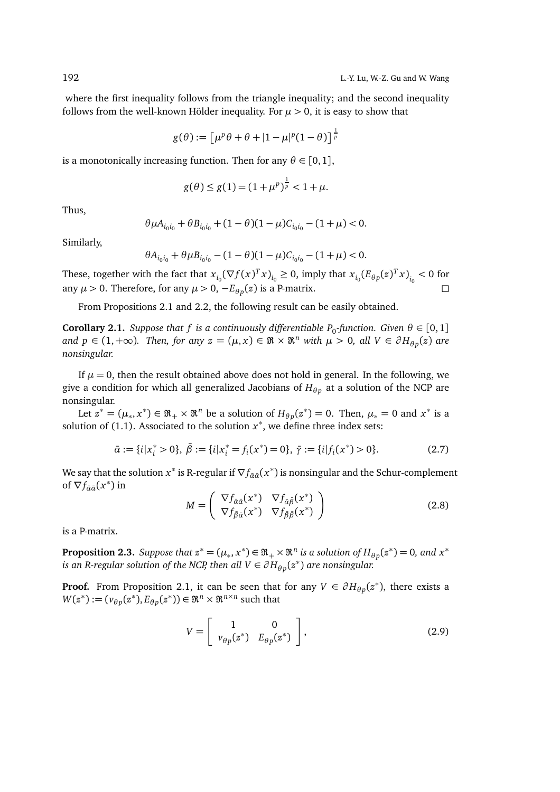where the first inequality follows from the triangle inequality; and the second inequality follows from the well-known Hölder inequality. For  $\mu > 0$ , it is easy to show that

$$
g(\theta):=\left[\mu^p\theta+\theta+|1-\mu|^p(1-\theta)\right]^{\frac{1}{p}}
$$

is a monotonically increasing function. Then for any  $\theta \in [0,1]$ ,

$$
g(\theta) \le g(1) = (1 + \mu^p)^{\frac{1}{p}} < 1 + \mu.
$$

Thus,

$$
\theta \mu A_{i_0 i_0} + \theta B_{i_0 i_0} + (1 - \theta)(1 - \mu) C_{i_0 i_0} - (1 + \mu) < 0.
$$

Similarly,

$$
\theta A_{i_0 i_0} + \theta \mu B_{i_0 i_0} - (1 - \theta)(1 - \mu) C_{i_0 i_0} - (1 + \mu) < 0.
$$

These, together with the fact that  $x_{i_0} (\nabla f(x)^T x)_{i_0} \ge 0$ , imply that  $x_{i_0} (E_{\theta p}(z)^T x)_{i_0} < 0$  for any  $\mu > 0$ . Therefore, for any  $\mu > 0$ ,  $-E_{\theta p}(z)$  is a P-matrix.

From Propositions 2.1 and 2.2, the following result can be easily obtained.

**Corollary 2.1.** *Suppose that f is a continuously differentiable P*<sub>0</sub>-function. *Given*  $\theta \in [0,1]$ *and*  $p \in (1, +\infty)$ *. Then, for any*  $z = (\mu, x) \in \Re \times \Re^n$  *with*  $\mu > 0$ *, all*  $V \in \partial H_{\theta p}(z)$  *are nonsingular.*

If  $\mu = 0$ , then the result obtained above does not hold in general. In the following, we give a condition for which all generalized Jacobians of  $H_{\theta p}$  at a solution of the NCP are nonsingular.

Let  $z^* = (\mu_*, x^*) \in \mathfrak{R}_+ \times \mathfrak{R}^n$  be a solution of  $H_{\theta p}(z^*) = 0$ . Then,  $\mu_* = 0$  and  $x^*$  is a solution of  $(1.1)$ . Associated to the solution  $x^*$ , we define three index sets:

$$
\bar{\alpha} := \{i | x_i^* > 0\}, \ \bar{\beta} := \{i | x_i^* = f_i(x^*) = 0\}, \ \bar{\gamma} := \{i | f_i(x^*) > 0\}.
$$

We say that the solution  $x^*$  is R-regular if  $\nabla f_{\tilde{\alpha} \tilde{\alpha}}(x^*)$  is nonsingular and the Schur-complement of  $\nabla f_{\bar{\alpha}\bar{\alpha}}(x^*)$  in

$$
M = \begin{pmatrix} \nabla f_{\tilde{\alpha}\tilde{\alpha}}(x^*) & \nabla f_{\tilde{\alpha}\tilde{\beta}}(x^*) \\ \nabla f_{\tilde{\beta}\tilde{\alpha}}(x^*) & \nabla f_{\tilde{\beta}\tilde{\beta}}(x^*) \end{pmatrix}
$$
 (2.8)

is a P-matrix.

**Proposition 2.3.** *Suppose that*  $z^* = (\mu_*, x^*) \in \mathfrak{R}_+ \times \mathfrak{R}^n$  *is a solution of*  $H_{\theta p}(z^*) = 0$ *, and*  $x^*$ *is an R-regular solution of the NCP, then all*  $V \in \partial H_{\theta p}(z^*)$  *are nonsingular.* 

**Proof.** From Proposition 2.1, it can be seen that for any  $V \in \partial H_{\theta p}(z^*)$ , there exists a  $W(z^*) := (v_{\theta p}(z^*), E_{\theta p}(z^*)) \in \mathfrak{R}^n \times \mathfrak{R}^{n \times n}$  such that

$$
V = \left[ \begin{array}{cc} 1 & 0 \\ v_{\theta p}(z^*) & E_{\theta p}(z^*) \end{array} \right],
$$
 (2.9)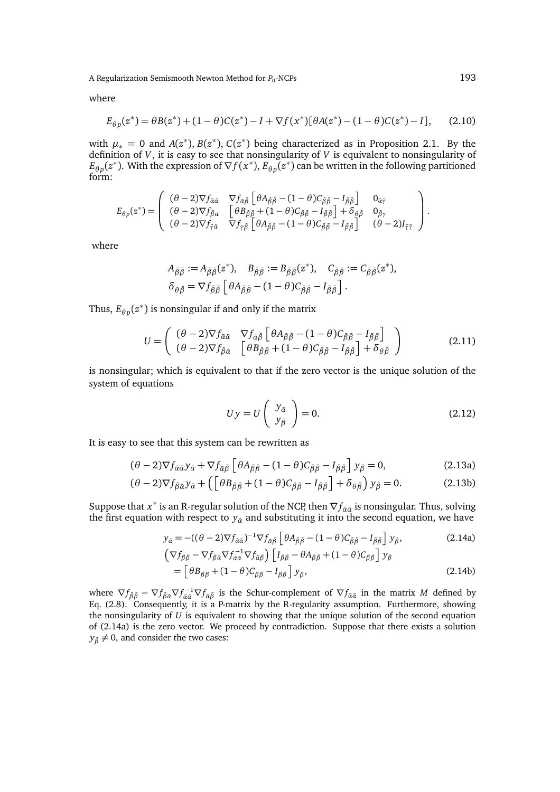A Regularization Semismooth Newton Method for  $P_0$ -NCPs  $193$ 

where

$$
E_{\theta p}(z^*) = \theta B(z^*) + (1 - \theta)C(z^*) - I + \nabla f(x^*)[\theta A(z^*) - (1 - \theta)C(z^*) - I], \qquad (2.10)
$$

with  $\mu_* = 0$  and  $A(z^*)$ ,  $B(z^*)$ ,  $C(z^*)$  being characterized as in Proposition 2.1. By the definition of *V*, it is easy to see that nonsingularity of *V* is equivalent to nonsingularity of  $E_{\theta p}(z^*)$ . With the expression of  $\nabla f(x^*)$ ,  $E_{\theta p}(z^*)$  can be written in the following partitioned form:

$$
E_{\theta p}(z^*) = \begin{pmatrix} (\theta - 2)\nabla f_{\tilde{\alpha}\tilde{\alpha}} & \nabla f_{\tilde{\alpha}\tilde{\beta}} \left[ \theta A_{\tilde{\beta}\tilde{\beta}} - (1 - \theta) C_{\tilde{\beta}\tilde{\beta}} - I_{\tilde{\beta}\tilde{\beta}} \right] & 0_{\tilde{\alpha}\tilde{\gamma}} \\ (\theta - 2)\nabla f_{\tilde{\beta}\tilde{\alpha}} & \left[ \theta B_{\tilde{\beta}\tilde{\beta}} + (1 - \theta) C_{\tilde{\beta}\tilde{\beta}} - I_{\tilde{\beta}\tilde{\beta}} \right] + \delta_{\theta\tilde{\beta}} & 0_{\tilde{\beta}\tilde{\gamma}} \\ (\theta - 2)\nabla f_{\tilde{\gamma}\tilde{\alpha}} & \nabla f_{\tilde{\gamma}\tilde{\beta}} \left[ \theta A_{\tilde{\beta}\tilde{\beta}} - (1 - \theta) C_{\tilde{\beta}\tilde{\beta}} - I_{\tilde{\beta}\tilde{\beta}} \right] & (\theta - 2) I_{\tilde{\gamma}\tilde{\gamma}} \end{pmatrix}.
$$

where

$$
A_{\bar{\beta}\bar{\beta}} := A_{\bar{\beta}\bar{\beta}}(z^*), \quad B_{\bar{\beta}\bar{\beta}} := B_{\bar{\beta}\bar{\beta}}(z^*), \quad C_{\bar{\beta}\bar{\beta}} := C_{\bar{\beta}\bar{\beta}}(z^*),
$$
  

$$
\delta_{\theta\bar{\beta}} = \nabla f_{\bar{\beta}\bar{\beta}} \left[ \theta A_{\bar{\beta}\bar{\beta}} - (1 - \theta) C_{\bar{\beta}\bar{\beta}} - I_{\bar{\beta}\bar{\beta}} \right].
$$

Thus,  $E_{\theta p}(z^*)$  is nonsingular if and only if the matrix

$$
U = \begin{pmatrix} (\theta - 2)\nabla f_{\tilde{\alpha}\tilde{\alpha}} & \nabla f_{\tilde{\alpha}\tilde{\beta}} \left[ \theta A_{\tilde{\beta}\tilde{\beta}} - (1 - \theta) C_{\tilde{\beta}\tilde{\beta}} - I_{\tilde{\beta}\tilde{\beta}} \right] \\ (\theta - 2)\nabla f_{\tilde{\beta}\tilde{\alpha}} & \left[ \theta B_{\tilde{\beta}\tilde{\beta}} + (1 - \theta) C_{\tilde{\beta}\tilde{\beta}} - I_{\tilde{\beta}\tilde{\beta}} \right] + \delta_{\theta\tilde{\beta}} \end{pmatrix}
$$
(2.11)

is nonsingular; which is equivalent to that if the zero vector is the unique solution of the system of equations

$$
Uy = U\left(\begin{array}{c}y_{\tilde{a}}\\y_{\tilde{\beta}}\end{array}\right) = 0.
$$
 (2.12)

It is easy to see that this system can be rewritten as

$$
(\theta - 2)\nabla f_{\tilde{\alpha}\tilde{\alpha}} y_{\tilde{\alpha}} + \nabla f_{\tilde{\alpha}\tilde{\beta}} \left[ \theta A_{\tilde{\beta}\tilde{\beta}} - (1 - \theta) C_{\tilde{\beta}\tilde{\beta}} - I_{\tilde{\beta}\tilde{\beta}} \right] y_{\tilde{\beta}} = 0, \tag{2.13a}
$$

$$
(\theta - 2)\nabla f_{\bar{\beta}\bar{\alpha}}y_{\bar{\alpha}} + \left(\left[\theta B_{\bar{\beta}\bar{\beta}} + (1 - \theta)C_{\bar{\beta}\bar{\beta}} - I_{\bar{\beta}\bar{\beta}}\right] + \delta_{\theta\bar{\beta}}\right)y_{\bar{\beta}} = 0.
$$
 (2.13b)

Suppose that *x*<sup>∗</sup> is an R-regular solution of the NCP, then  $\nabla f_{\tilde{\alpha}\tilde{\alpha}}$  is nonsingular. Thus, solving the first equation with respect to  $y_{\bar{\alpha}}$  and substituting it into the second equation, we have

$$
y_{\tilde{a}} = -((\theta - 2)\nabla f_{\tilde{a}\tilde{a}})^{-1} \nabla f_{\tilde{a}\tilde{\beta}} \left[ \theta A_{\tilde{\beta}\tilde{\beta}} - (1 - \theta) C_{\tilde{\beta}\tilde{\beta}} - I_{\tilde{\beta}\tilde{\beta}} \right] y_{\tilde{\beta}},
$$
(2.14a)

$$
\begin{aligned} \left(\nabla f_{\tilde{\beta}\tilde{\beta}} - \nabla f_{\tilde{\beta}\tilde{\alpha}} \nabla f_{\tilde{\alpha}\tilde{\alpha}}^{-1} \nabla f_{\tilde{\alpha}\tilde{\beta}}\right) \left[I_{\tilde{\beta}\tilde{\beta}} - \theta A_{\tilde{\beta}\tilde{\beta}} + (1 - \theta) C_{\tilde{\beta}\tilde{\beta}}\right] y_{\tilde{\beta}} \\ &= \left[\theta B_{\tilde{\beta}\tilde{\beta}} + (1 - \theta) C_{\tilde{\beta}\tilde{\beta}} - I_{\tilde{\beta}\tilde{\beta}}\right] y_{\tilde{\beta}}, \end{aligned} \tag{2.14b}
$$

where  $\nabla f_{\bar{\beta}\bar{\beta}} - \nabla f_{\bar{\beta}\bar{\alpha}}\nabla f_{\bar{\alpha}\bar{\alpha}}^{-1}\nabla f_{\bar{\alpha}\bar{\beta}}$  is the Schur-complement of  $\nabla f_{\bar{\alpha}\bar{\alpha}}$  in the matrix *M* defined by Eq.  $(2.8)$ . Consequently, it is a P-matrix by the R-regularity assumption. Furthermore, showing the nonsingularity of *U* is equivalent to showing that the unique solution of the second equation of (2.14a) is the zero vector. We proceed by contradiction. Suppose that there exists a solution  $y_{\tilde{\beta}} \neq 0$ , and consider the two cases: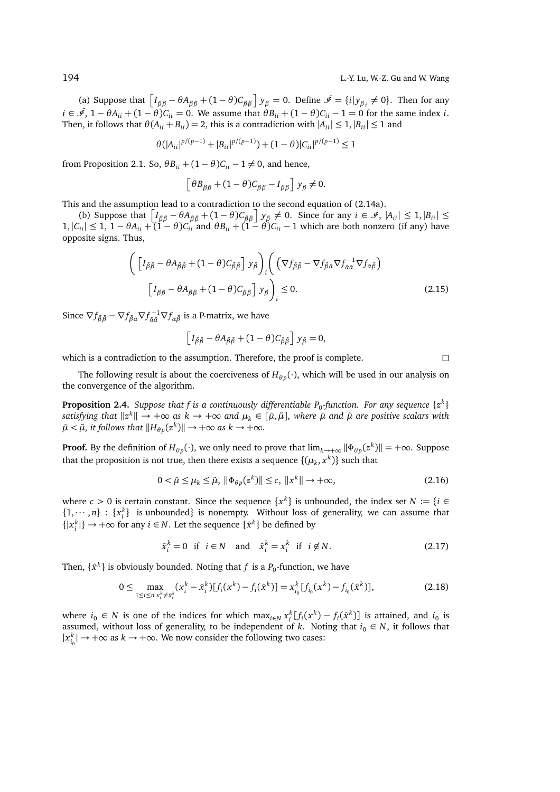(a) Suppose that  $\left[I_{\bar{\beta}\bar{\beta}} - \theta A_{\bar{\beta}\bar{\beta}} + (1 - \theta)C_{\bar{\beta}\bar{\beta}}\right]y_{\bar{\beta}} = 0$ . Define  $\hat{\mathscr{I}} = \{i | y_{\bar{\beta}i} \neq 0\}$ . Then for any  $i \in \hat{\mathscr{I}}$ ,  $1 - \theta A_{ii} + (1 - \theta)C_{ii} = 0$ . We assume that  $\theta B_{ii} + (1 - \theta)C_{ii} - 1 = 0$  for the same index *i*. Then, it follows that  $\theta(A_{ii} + B_{ii}) = 2$ , this is a contradiction with  $|A_{ii}| \leq 1$ ,  $|B_{ii}| \leq 1$  and

$$
\theta(|A_{ii}|^{p/(p-1)} + |B_{ii}|^{p/(p-1)}) + (1-\theta)|C_{ii}|^{p/(p-1)} \le 1
$$

from Proposition 2.1. So,  $\theta B_{ii} + (1 - \theta)C_{ii} - 1 \neq 0$ , and hence,

$$
\left[\theta B_{\bar{\beta}\bar{\beta}} + (1-\theta)C_{\bar{\beta}\bar{\beta}} - I_{\bar{\beta}\bar{\beta}}\right]y_{\bar{\beta}} \neq 0.
$$

This and the assumption lead to a contradiction to the second equation of (2.14a).

(b) Suppose that  $\left[I_{\beta\bar{\beta}} - \theta A_{\bar{\beta}\bar{\beta}} + (1-\theta)C_{\bar{\beta}\bar{\beta}}\right]y_{\bar{\beta}} \neq 0$ . Since for any  $i \in \mathcal{I}$ ,  $|A_{ii}| \leq 1, |B_{ii}| \leq 1$  $1, |C_{ii}|$  ≤ 1, 1 −  $θA_{ii}$  + (1 −  $θ)C_{ii}$  and  $θB_{ii}$  + (1 −  $θ)C_{ii}$  − 1 which are both nonzero (if any) have opposite signs. Thus,

$$
\left( \left[ I_{\tilde{\beta}\tilde{\beta}} - \theta A_{\tilde{\beta}\tilde{\beta}} + (1 - \theta) C_{\tilde{\beta}\tilde{\beta}} \right] y_{\tilde{\beta}} \right)_i \left( \left( \nabla f_{\tilde{\beta}\tilde{\beta}} - \nabla f_{\tilde{\beta}\tilde{\alpha}} \nabla f_{\tilde{\alpha}\tilde{\alpha}}^{-1} \nabla f_{\tilde{\alpha}\tilde{\beta}} \right) \right)
$$
\n
$$
\left[ I_{\tilde{\beta}\tilde{\beta}} - \theta A_{\tilde{\beta}\tilde{\beta}} + (1 - \theta) C_{\tilde{\beta}\tilde{\beta}} \right] y_{\tilde{\beta}} \right)_i \leq 0.
$$
\n(2.15)

Since  $\nabla f_{\bar{\beta}\bar{\beta}} - \nabla f_{\bar{\beta}\bar{\alpha}} \nabla f_{\bar{\alpha}\bar{\beta}}^{-1} \nabla f_{\bar{\alpha}\bar{\beta}}$  is a P-matrix, we have

$$
\left[I_{\bar{\beta}\bar{\beta}} - \theta A_{\bar{\beta}\bar{\beta}} + (1 - \theta)C_{\bar{\beta}\bar{\beta}}\right]y_{\bar{\beta}} = 0,
$$

which is a contradiction to the assumption. Therefore, the proof is complete.  $\Box$ 

The following result is about the coerciveness of  $H_{\theta p}(\cdot)$ , which will be used in our analysis on the convergence of the algorithm.

**Proposition 2.4.** Suppose that f is a continuously differentiable  $P_0$ -function. For any sequence  $\{z^k\}$  $s$ atisfying that  $\|z^k\| \to +\infty$  as  $k\to +\infty$  and  $\mu_k\in[\hat\mu,\tilde\mu]$ , where  $\hat\mu$  and  $\tilde\mu$  are positive scalars with  $\hat{\mu} < \tilde{\mu}$ *, it follows that*  $\|H_{\theta p}(z^k)\| \to +\infty$  *as k*  $\to +\infty$ *.* 

**Proof.** By the definition of  $H_{\theta p}(\cdot)$ , we only need to prove that  $\lim_{k\to+\infty} ||\Phi_{\theta p}(z^k)|| = +\infty$ . Suppose that the proposition is not true, then there exists a sequence  $\{(\mu_k, x^k)\}$  such that

$$
0 < \hat{\mu} \le \mu_k \le \tilde{\mu}, \ \|\Phi_{\theta p}(z^k)\| \le c, \ \|x^k\| \to +\infty,\tag{2.16}
$$

where  $c > 0$  is certain constant. Since the sequence  $\{x^k\}$  is unbounded, the index set  $N := \{i \in \mathbb{N}\}$  $\{1, \dots, n\}$ :  $\{x_i^k\}$  is unbounded} is nonempty. Without loss of generality, we can assume that  ${|x_i^k|}$  →  $+\infty$  for any *i* ∈ *N*. Let the sequence  ${\hat{x}^k}$  be defined by

$$
\hat{x}_i^k = 0 \quad \text{if} \quad i \in N \quad \text{and} \quad \hat{x}_i^k = x_i^k \quad \text{if} \quad i \notin N. \tag{2.17}
$$

Then,  $\{\hat{x}^k\}$  is obviously bounded. Noting that  $f$  is a  $P_0$ -function, we have

$$
0 \leq \max_{1 \leq i \leq n} \max_{x_i^k \neq \hat{x}_i^k} (x_i^k - \hat{x}_i^k) [f_i(x^k) - f_i(\hat{x}^k)] = x_{i_0}^k [f_{i_0}(x^k) - f_{i_0}(\hat{x}^k)],
$$
\n(2.18)

where  $i_0$  ∈ *N* is one of the indices for which max<sub>*i*∈*N*</sub>  $x_i^k[f_i(x^k) - f_i(\hat{x}^k)]$  is attained, and  $i_0$  is assumed, without loss of generality, to be independent of *k*. Noting that  $i_0 \in N$ , it follows that  $|x_{i_0}^k|$  → +∞ as  $k \to +\infty$ . We now consider the following two cases: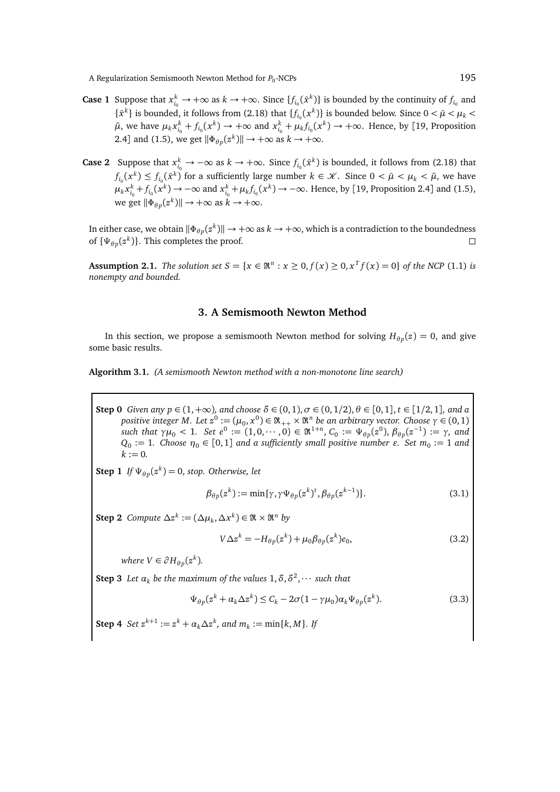A Regularization Semismooth Newton Method for *P*<sub>0</sub>-NCPs -NCPs 195

- **Case 1** Suppose that  $x_{i_0}^k \to +\infty$  as  $k \to +\infty$ . Since  $\{f_{i_0}(\hat{x}^k)\}\)$  is bounded by the continuity of  $f_{i_0}$  and  $\{\hat{x}^k\}$  is bounded, it follows from (2.18) that  $\{f_{i_0}(x^k)\}\)$  is bounded below. Since  $0 < \hat{\mu} < \mu_k$  $\tilde{\mu}$ , we have  $\mu_k x_{i_0}^k + f_{i_0}(x^k) \to +\infty$  and  $x_{i_0}^k + \mu_k f_{i_0}(x^k) \to +\infty$ . Hence, by [19, Proposition 2.4] and (1.5), we get  $\|\Phi_{\theta p}(z^k)\| \to +\infty$  as  $k \to +\infty$ .
- **Case 2** Suppose that  $x_{i_0}^k \to -\infty$  as  $k \to +\infty$ . Since  $f_{i_0}(\hat{x}^k)$  is bounded, it follows from (2.18) that  $f_{i_0}(x^k) \le f_{i_0}(\hat{x}^k)$  for a sufficiently large number  $k \in \mathcal{K}$ . Since  $0 < \hat{\mu} < \mu_k < \tilde{\mu}$ , we have  $\mu_k x_{i_0}^k + f_{i_0}(x^k) \to -\infty$  and  $x_{i_0}^k + \mu_k f_{i_0}(x^k) \to -\infty$ . Hence, by [19, Proposition 2.4] and (1.5), we get  $\|\Phi_{\theta p}(z^k)\| \to +\infty$  as  $k \to +\infty$ .

In either case, we obtain  $\|\Phi_{\theta p}(z^k)\|\to +\infty$  as  $k\to +\infty$ , which is a contradiction to the boundedness of  $\{\Psi_{\theta p}(z^k)\}\$ . This completes the proof.

**Assumption 2.1.** *The solution set*  $S = \{x \in \mathbb{R}^n : x \ge 0, f(x) \ge 0, x^T f(x) = 0\}$  *of the NCP* (1.1) *is nonempty and bounded.*

### **3. A Semismooth Newton Method**

In this section, we propose a semismooth Newton method for solving  $H_{\theta p}(z) = 0$ , and give some basic results.

**Algorithm 3.1.** *(A semismooth Newton method with a non-monotone line search)*

**Step 0** *Given any p* ∈ (1, +∞)*, and choose*  $δ ∈ (0, 1)$ *, σ* ∈ (0, 1/2),  $θ ∈ [0, 1]$ *, t* ∈ [1/2, 1]*, and a*  $\phi$  *positive integer M. Let z*<sup>0</sup> := (μ<sub>0</sub>, x<sup>0</sup>) ∈  $\Re_{++}\times\Re^n$  *be an arbitrary vector. Choose γ* ∈ (0, 1)  $such$  that γ $μ_0 < 1$ . Set  $e^0 := (1, 0, \cdots, 0) \in \Re^{1+n}$ ,  $C_0 := Ψ_{θp}(z^0)$ ,  $β_{θp}(z^{-1}) := γ$ , and  $Q_0 := 1$ . Choose  $\eta_0 \in [0,1]$  and a sufficiently small positive number  $\varepsilon$ . Set  $m_0 := 1$  and  $k := 0.$ 

**Step 1** *If*  $\Psi_{\theta p}(z^k) = 0$ , *stop. Otherwise, let* 

$$
\beta_{\theta p}(z^k) := \min{\{\gamma, \gamma \Psi_{\theta p}(z^k)^t, \beta_{\theta p}(z^{k-1})\}}.
$$
\n(3.1)

Step 2 *Compute*  $\Delta z^k := (\Delta \mu_k, \Delta x^k) \in \mathfrak{R} \times \mathfrak{R}^n$  by

$$
V\Delta z^k = -H_{\theta p}(z^k) + \mu_0 \beta_{\theta p}(z^k) e_0, \qquad (3.2)
$$

*where*  $V \in \partial H_{\theta p}(z^k)$ *.* 

**Step 3** Let  $\alpha_k$  be the maximum of the values  $1, \delta, \delta^2, \cdots$  such that

$$
\Psi_{\theta p}(z^k + \alpha_k \Delta z^k) \le C_k - 2\sigma (1 - \gamma \mu_0) \alpha_k \Psi_{\theta p}(z^k).
$$
\n(3.3)

**Step 4** *Set*  $z^{k+1} := z^k + a_k \Delta z^k$ , and  $m_k := \min\{k, M\}$ . If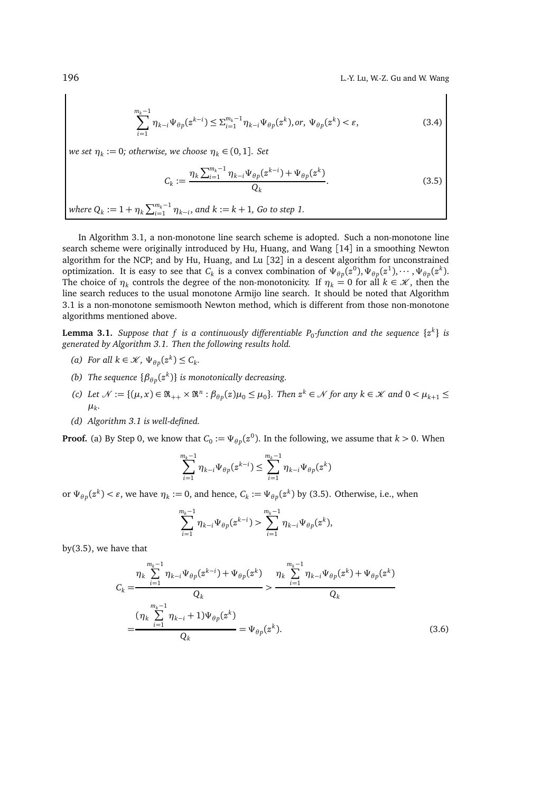196 L.-Y. Lu, W.-Z. Gu and W. Wang

$$
\sum_{i=1}^{m_k-1} \eta_{k-i} \Psi_{\theta p}(z^{k-i}) \le \sum_{i=1}^{m_k-1} \eta_{k-i} \Psi_{\theta p}(z^k), or, \ \Psi_{\theta p}(z^k) < \varepsilon,\tag{3.4}
$$

 $\omega$ *k* set  $\eta_k := 0$ ; otherwise, we choose  $\eta_k \in (0,1]$ . Set

$$
C_k := \frac{\eta_k \sum_{i=1}^{m_k - 1} \eta_{k-i} \Psi_{\theta p}(z^{k-i}) + \Psi_{\theta p}(z^k)}{Q_k}.
$$
 (3.5)

*where*  $Q_k := 1 + \eta_k \sum_{i=1}^{m_k-1} \eta_{k-i}$ , and  $k := k + 1$ , Go to step 1.

In Algorithm 3.1, a non-monotone line search scheme is adopted. Such a non-monotone line search scheme were originally introduced by Hu, Huang, and Wang [14] in a smoothing Newton algorithm for the NCP; and by Hu, Huang, and Lu [32] in a descent algorithm for unconstrained optimization. It is easy to see that  $C_k$  is a convex combination of  $\Psi_{\theta p}(z^0), \Psi_{\theta p}(z^1), \cdots, \Psi_{\theta p}(z^k)$ . The choice of  $\eta_k$  controls the degree of the non-monotonicity. If  $\eta_k = 0$  for all  $k \in \mathcal{K}$ , then the line search reduces to the usual monotone Armijo line search. It should be noted that Algorithm 3.1 is a non-monotone semismooth Newton method, which is different from those non-monotone algorithms mentioned above.

 ${\bf Lemma}$  3.1. *Suppose that*  $f$  *is a continuously differentiable*  $P_0$ *-function and the sequence*  $\{z^k\}$  *is generated by Algorithm 3.1. Then the following results hold.*

- *(a) For all*  $k \in \mathcal{K}$ ,  $\Psi_{\theta p}(z^k) \leq C_k$ .
- *(b)* The sequence  $\{\beta_{\theta p}(z^k)\}\$ is monotonically decreasing.
- *(c)* Let  $\mathcal{N} := \{(\mu, x) \in \mathfrak{R}_{++} \times \mathfrak{R}^n : \beta_{\theta p}(z) \mu_0 \leq \mu_0\}$ . Then  $z^k \in \mathcal{N}$  for any  $k \in \mathcal{K}$  and  $0 < \mu_{k+1} \leq \theta$ *µk .*
- *(d) Algorithm 3.1 is well-defined.*

**Proof.** (a) By Step 0, we know that  $C_0 := \Psi_{\theta p}(z^0)$ . In the following, we assume that  $k > 0$ . When

$$
\sum_{i=1}^{m_k-1} \eta_{k-i} \Psi_{\theta p}(z^{k-i}) \le \sum_{i=1}^{m_k-1} \eta_{k-i} \Psi_{\theta p}(z^k)
$$

or  $\Psi_{\theta p}(z^k) < \varepsilon$ , we have  $\eta_k := 0$ , and hence,  $C_k := \Psi_{\theta p}(z^k)$  by (3.5). Otherwise, i.e., when

$$
\sum_{i=1}^{m_k-1} \eta_{k-i} \Psi_{\theta p}(z^{k-i}) > \sum_{i=1}^{m_k-1} \eta_{k-i} \Psi_{\theta p}(z^k),
$$

by(3.5), we have that

$$
C_{k} = \frac{\eta_{k} \sum_{i=1}^{m_{k}-1} \eta_{k-i} \Psi_{\theta p}(z^{k-i}) + \Psi_{\theta p}(z^{k})}{Q_{k}} > \frac{\eta_{k} \sum_{i=1}^{m_{k}-1} \eta_{k-i} \Psi_{\theta p}(z^{k}) + \Psi_{\theta p}(z^{k})}{Q_{k}}
$$

$$
= \frac{(\eta_{k} \sum_{i=1}^{m_{k}-1} \eta_{k-i} + 1) \Psi_{\theta p}(z^{k})}{Q_{k}} = \Psi_{\theta p}(z^{k}).
$$
(3.6)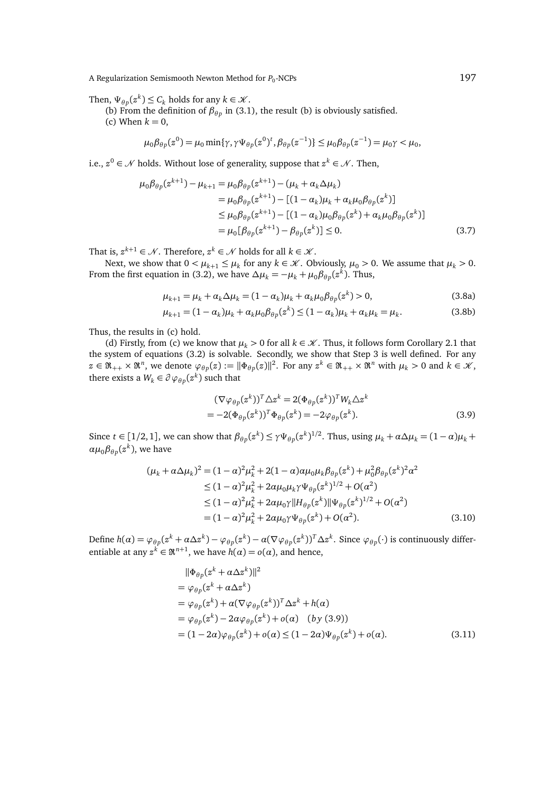A Regularization Semismooth Newton Method for  $P_0$ -NCPs  $197$ 

Then,  $\Psi_{\theta p}(z^k) \leq C_k$  holds for any  $k \in \mathcal{K}$ .

(b) From the definition of  $\beta_{\theta p}$  in (3.1), the result (b) is obviously satisfied.

(c) When  $k = 0$ ,

$$
\mu_0\beta_{\theta p}(z^0)=\mu_0\min\{\gamma, \gamma\Psi_{\theta p}(z^0)^t, \beta_{\theta p}(z^{-1})\}\leq \mu_0\beta_{\theta p}(z^{-1})=\mu_0\gamma<\mu_0,
$$

i.e.,  $z^0 ∈ \mathcal{N}$  holds. Without lose of generality, suppose that  $z^k ∈ \mathcal{N}$ . Then,

$$
\mu_0 \beta_{\theta p}(z^{k+1}) - \mu_{k+1} = \mu_0 \beta_{\theta p}(z^{k+1}) - (\mu_k + \alpha_k \Delta \mu_k)
$$
  
\n
$$
= \mu_0 \beta_{\theta p}(z^{k+1}) - [(1 - \alpha_k)\mu_k + \alpha_k \mu_0 \beta_{\theta p}(z^k)]
$$
  
\n
$$
\leq \mu_0 \beta_{\theta p}(z^{k+1}) - [(1 - \alpha_k)\mu_0 \beta_{\theta p}(z^k) + \alpha_k \mu_0 \beta_{\theta p}(z^k)]
$$
  
\n
$$
= \mu_0 [\beta_{\theta p}(z^{k+1}) - \beta_{\theta p}(z^k)] \leq 0.
$$
 (3.7)

That is,  $z^{k+1} \in \mathcal{N}$ . Therefore,  $z^k \in \mathcal{N}$  holds for all  $k \in \mathcal{K}$ .

Next, we show that  $0 < \mu_{k+1} \leq \mu_k$  for any  $k \in \mathcal{K}$ . Obviously,  $\mu_0 > 0$ . We assume that  $\mu_k > 0$ . From the first equation in (3.2), we have  $\Delta \mu_k = -\mu_k + \mu_0 \beta_{\theta p}(z^k)$ . Thus,

$$
\mu_{k+1} = \mu_k + \alpha_k \Delta \mu_k = (1 - \alpha_k)\mu_k + \alpha_k \mu_0 \beta_{\theta p}(z^k) > 0,
$$
\n(3.8a)

$$
\mu_{k+1} = (1 - \alpha_k)\mu_k + \alpha_k \mu_0 \beta_{\theta p}(z^k) \le (1 - \alpha_k)\mu_k + \alpha_k \mu_k = \mu_k. \tag{3.8b}
$$

Thus, the results in (c) hold.

(d) Firstly, from (c) we know that  $\mu_k > 0$  for all  $k \in \mathcal{K}$ . Thus, it follows form Corollary 2.1 that the system of equations (3.2) is solvable. Secondly, we show that Step 3 is well defined. For any  $z \in \mathfrak{R}_{++} \times \mathfrak{R}^n$ , we denote  $\varphi_{\theta p}(z) := \|\Phi_{\theta p}(z)\|^2$ . For any  $z^k \in \mathfrak{R}_{++} \times \mathfrak{R}^n$  with  $\mu_k > 0$  and  $k \in \mathcal{K}$ , there exists a  $W_k \in \partial \varphi_{\theta p}(z^k)$  such that

$$
(\nabla \varphi_{\theta p}(z^k))^T \Delta z^k = 2(\Phi_{\theta p}(z^k))^T W_k \Delta z^k
$$
  
=  $-2(\Phi_{\theta p}(z^k))^T \Phi_{\theta p}(z^k) = -2\varphi_{\theta p}(z^k).$  (3.9)

Since  $t \in [1/2, 1]$ , we can show that  $\beta_{\theta p}(z^k) \leq \gamma \Psi_{\theta p}(z^k)^{1/2}$ . Thus, using  $\mu_k + \alpha \Delta \mu_k = (1 - \alpha)\mu_k + \alpha \Delta \mu_k$  $\alpha \mu_0 \beta_{\theta p}(z^k)$ , we have

$$
(\mu_k + \alpha \Delta \mu_k)^2 = (1 - \alpha)^2 \mu_k^2 + 2(1 - \alpha) \alpha \mu_0 \mu_k \beta_{\theta p} (z^k) + \mu_0^2 \beta_{\theta p} (z^k)^2 \alpha^2
$$
  
\n
$$
\leq (1 - \alpha)^2 \mu_k^2 + 2 \alpha \mu_0 \mu_k \gamma \Psi_{\theta p} (z^k)^{1/2} + O(\alpha^2)
$$
  
\n
$$
\leq (1 - \alpha)^2 \mu_k^2 + 2 \alpha \mu_0 \gamma ||H_{\theta p} (z^k)||\Psi_{\theta p} (z^k)^{1/2} + O(\alpha^2)
$$
  
\n
$$
= (1 - \alpha)^2 \mu_k^2 + 2 \alpha \mu_0 \gamma \Psi_{\theta p} (z^k) + O(\alpha^2).
$$
 (3.10)

Define  $h(\alpha) = \varphi_{\theta p}(z^k + \alpha \Delta z^k) - \varphi_{\theta p}(z^k) - \alpha (\nabla \varphi_{\theta p}(z^k))^T \Delta z^k$ . Since  $\varphi_{\theta p}(\cdot)$  is continuously differentiable at any  $z^k \in \mathbb{R}^{n+1}$ , we have  $h(\alpha) = o(\alpha)$ , and hence,

$$
\|\Phi_{\theta p}(z^k + \alpha \Delta z^k)\|^2
$$
  
=  $\varphi_{\theta p}(z^k + \alpha \Delta z^k)$   
=  $\varphi_{\theta p}(z^k) + \alpha (\nabla \varphi_{\theta p}(z^k))^T \Delta z^k + h(\alpha)$   
=  $\varphi_{\theta p}(z^k) - 2\alpha \varphi_{\theta p}(z^k) + o(\alpha)$  (by (3.9))  
=  $(1 - 2\alpha)\varphi_{\theta p}(z^k) + o(\alpha) \le (1 - 2\alpha)\Psi_{\theta p}(z^k) + o(\alpha).$  (3.11)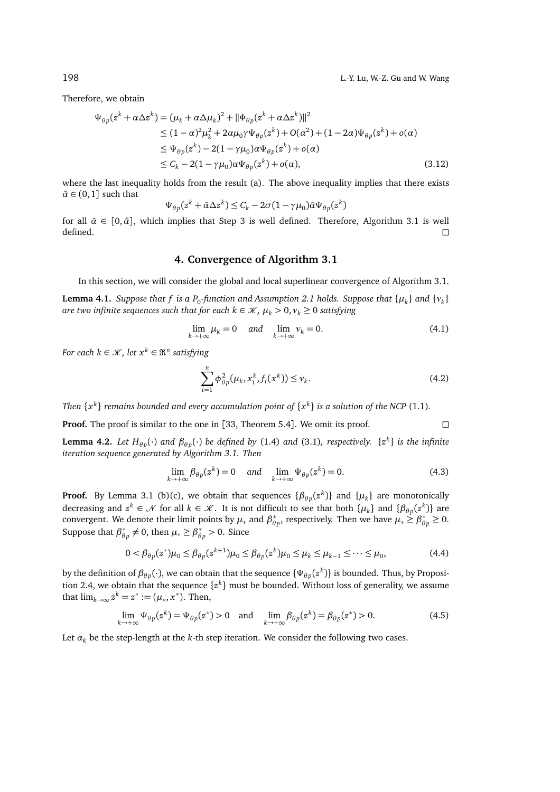Therefore, we obtain

$$
\Psi_{\theta p}(z^{k} + \alpha \Delta z^{k}) = (\mu_{k} + \alpha \Delta \mu_{k})^{2} + ||\Phi_{\theta p}(z^{k} + \alpha \Delta z^{k})||^{2}
$$
\n
$$
\leq (1 - \alpha)^{2} \mu_{k}^{2} + 2\alpha \mu_{0} \gamma \Psi_{\theta p}(z^{k}) + O(\alpha^{2}) + (1 - 2\alpha) \Psi_{\theta p}(z^{k}) + o(\alpha)
$$
\n
$$
\leq \Psi_{\theta p}(z^{k}) - 2(1 - \gamma \mu_{0}) \alpha \Psi_{\theta p}(z^{k}) + o(\alpha)
$$
\n
$$
\leq C_{k} - 2(1 - \gamma \mu_{0}) \alpha \Psi_{\theta p}(z^{k}) + o(\alpha), \qquad (3.12)
$$

where the last inequality holds from the result (a). The above inequality implies that there exists  $\bar{\alpha} \in (0, 1]$  such that

$$
\Psi_{\theta p}(z^k + \hat{\alpha} \Delta z^k) \le C_k - 2\sigma (1 - \gamma \mu_0) \hat{\alpha} \Psi_{\theta p}(z^k)
$$

for all  $\hat{\alpha} \in [0, \bar{\alpha}]$ , which implies that Step 3 is well defined. Therefore, Algorithm 3.1 is well defined.  $\Box$ 

### **4. Convergence of Algorithm 3.1**

In this section, we will consider the global and local superlinear convergence of Algorithm 3.1.

**Lemma 4.1.** Suppose that  $f$  is a  $P_0$ -function and Assumption 2.1 holds. Suppose that  $\{\mu_k\}$  and  $\{\nu_k\}$ *are two infinite sequences such that for each*  $k \in \mathcal{K}$ *,*  $\mu_k > 0$ *,*  $v_k \geq 0$  *<i>satisfying* 

$$
\lim_{k \to +\infty} \mu_k = 0 \quad \text{and} \quad \lim_{k \to +\infty} \nu_k = 0. \tag{4.1}
$$

*For each k ∈*  $\mathcal{K}$ *, let*  $x^k$  *∈*  $\mathfrak{R}^n$  *satisfying* 

$$
\sum_{i=1}^{n} \phi_{\theta p}^{2}(\mu_{k}, x_{i}^{k}, f_{i}(x^{k})) \leq v_{k}.
$$
\n(4.2)

*Then*  $\{x^k\}$  *remains bounded and every accumulation point of*  $\{x^k\}$  *is a solution of the NCP* (1.1).

**Proof.** The proof is similar to the one in [33, Theorem 5.4]. We omit its proof.  $\square$ 

**Lemma 4.2.** Let  $H_{\theta p}(\cdot)$  and  $\beta_{\theta p}(\cdot)$  be defined by (1.4) and (3.1), respectively.  $\{z^k\}$  is the infinite *iteration sequence generated by Algorithm 3.1. Then*

$$
\lim_{k \to +\infty} \beta_{\theta p}(z^k) = 0 \quad \text{and} \quad \lim_{k \to +\infty} \Psi_{\theta p}(z^k) = 0. \tag{4.3}
$$

**Proof.** By Lemma 3.1 (b)(c), we obtain that sequences  $\{\beta_{\theta p}(z^k)\}\$  and  $\{\mu_k\}\$  are monotonically decreasing and  $z^k \in \mathcal{N}$  for all  $k \in \mathcal{K}$ . It is not difficult to see that both  $\{\mu_k\}$  and  $\{\beta_{\theta p}(z^k)\}$  are convergent. We denote their limit points by  $\mu_*$  and  $\beta_{\theta p}^*$ , respectively. Then we have  $\mu_* \ge \beta_{\theta p}^* \ge 0$ . Suppose that  $\beta_{\theta p}^* \neq 0$ , then  $\mu_* \geq \beta_{\theta p}^* > 0$ . Since

$$
0 < \beta_{\theta p}(z^*) \mu_0 \le \beta_{\theta p}(z^{k+1}) \mu_0 \le \beta_{\theta p}(z^k) \mu_0 \le \mu_k \le \mu_{k-1} \le \cdots \le \mu_0,
$$
\n(4.4)

by the definition of  $\beta_{\theta p}(\cdot)$ , we can obtain that the sequence  $\{\Psi_{\theta p}(z^k)\}$  is bounded. Thus, by Proposition 2.4, we obtain that the sequence {*z k* } must be bounded. Without loss of generality, we assume that  $\lim_{k \to \infty} z^k = z^* := (\mu_*, x^*)$ . Then,

$$
\lim_{k \to +\infty} \Psi_{\theta p}(z^k) = \Psi_{\theta p}(z^*) > 0 \quad \text{and} \quad \lim_{k \to +\infty} \beta_{\theta p}(z^k) = \beta_{\theta p}(z^*) > 0. \tag{4.5}
$$

Let  $\alpha_k$  be the step-length at the *k*-th step iteration. We consider the following two cases.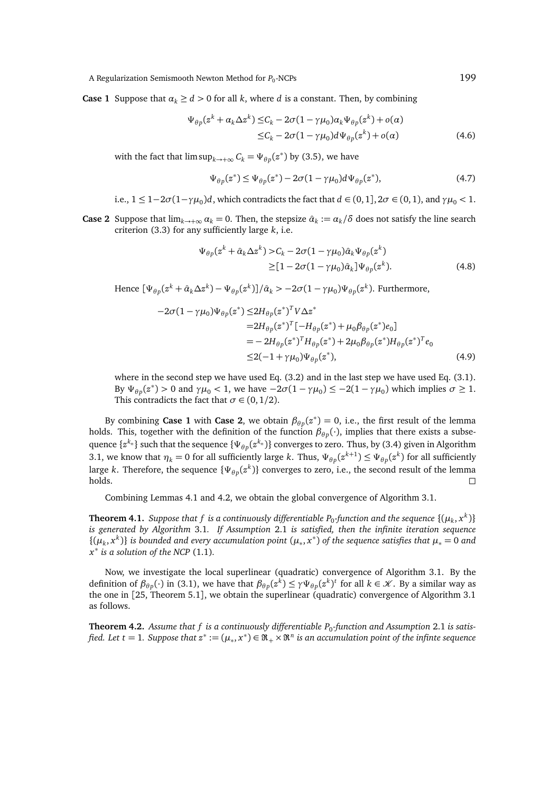A Regularization Semismooth Newton Method for *P*<sub>0</sub>-NCPs -NCPs 199

**Case 1** Suppose that  $a_k \geq d > 0$  for all k, where *d* is a constant. Then, by combining

$$
\Psi_{\theta p}(z^k + \alpha_k \Delta z^k) \leq C_k - 2\sigma (1 - \gamma \mu_0) \alpha_k \Psi_{\theta p}(z^k) + o(\alpha)
$$
  

$$
\leq C_k - 2\sigma (1 - \gamma \mu_0) d \Psi_{\theta p}(z^k) + o(\alpha)
$$
 (4.6)

with the fact that  $\limsup_{k\to+\infty} C_k = \Psi_{\theta p}(z^*)$  by (3.5), we have

$$
\Psi_{\theta p}(z^*) \le \Psi_{\theta p}(z^*) - 2\sigma(1 - \gamma \mu_0) d\Psi_{\theta p}(z^*),\tag{4.7}
$$

i.e., 
$$
1 \le 1-2\sigma(1-\gamma\mu_0)d
$$
, which contradicts the fact that  $d \in (0,1]$ ,  $2\sigma \in (0,1)$ , and  $\gamma\mu_0 < 1$ .

**Case 2** Suppose that  $\lim_{k\to+\infty} a_k = 0$ . Then, the stepsize  $\hat{a}_k := a_k/\delta$  does not satisfy the line search criterion (3.3) for any sufficiently large *k*, i.e.

$$
\Psi_{\theta p}(z^k + \hat{\alpha}_k \Delta z^k) > C_k - 2\sigma (1 - \gamma \mu_0) \hat{\alpha}_k \Psi_{\theta p}(z^k) \\
\geq [1 - 2\sigma (1 - \gamma \mu_0) \hat{\alpha}_k] \Psi_{\theta p}(z^k). \tag{4.8}
$$

Hence  $[\Psi_{\theta p}(z^k + \hat{\alpha}_k \Delta z^k) - \Psi_{\theta p}(z^k)]/\hat{\alpha}_k > -2\sigma(1-\gamma\mu_0)\Psi_{\theta p}(z^k)$ . Furthermore,

$$
-2\sigma(1 - \gamma\mu_0)\Psi_{\theta p}(z^*) \le 2H_{\theta p}(z^*)^T V \Delta z^*
$$
  
\n
$$
= 2H_{\theta p}(z^*)^T [-H_{\theta p}(z^*) + \mu_0 \beta_{\theta p}(z^*) e_0]
$$
  
\n
$$
= -2H_{\theta p}(z^*)^T H_{\theta p}(z^*) + 2\mu_0 \beta_{\theta p}(z^*) H_{\theta p}(z^*)^T e_0
$$
  
\n
$$
\le 2(-1 + \gamma\mu_0)\Psi_{\theta p}(z^*),
$$
\n(4.9)

where in the second step we have used Eq. (3.2) and in the last step we have used Eq. (3.1). By  $\Psi_{\theta p}(z^*) > 0$  and  $\gamma \mu_0 < 1$ , we have  $-2\sigma(1 - \gamma \mu_0) \leq -2(1 - \gamma \mu_0)$  which implies  $\sigma \geq 1$ . This contradicts the fact that  $\sigma \in (0, 1/2)$ .

By combining **Case 1** with **Case 2**, we obtain  $\beta_{\theta p}(z^*) = 0$ , i.e., the first result of the lemma holds. This, together with the definition of the function  $\beta_{\theta p}(\cdot)$ , implies that there exists a subsequence {*z <sup>k</sup><sup>n</sup>* } such that the sequence {Ψ*<sup>θ</sup> <sup>p</sup>* (*z <sup>k</sup><sup>n</sup>* )} converges to zero. Thus, by (3.4) given in Algorithm 3.1, we know that  $\eta_k = 0$  for all sufficiently large *k*. Thus,  $\Psi_{\theta p}(z^{k+1}) \leq \Psi_{\theta p}(z^k)$  for all sufficiently large *k*. Therefore, the sequence  $\{\Psi_{\theta p}(z^k)\}$  converges to zero, i.e., the second result of the lemma  $h$ olds.

Combining Lemmas 4.1 and 4.2, we obtain the global convergence of Algorithm 3.1.

**Theorem 4.1.** *Suppose that f is a continuously differentiable P*<sup>0</sup> *-function and the sequence* {(*µ<sup>k</sup>* , *x k* )} *is generated by Algorithm* 3.1*. If Assumption* 2.1 *is satisfied, then the infinite iteration sequence*  $\{(\mu_k, x^k)\}\$ is bounded and every accumulation point  $(\mu_*, x^*)$  of the sequence satisfies that  $\mu_* = 0$  and *x* ∗ *is a solution of the NCP* (1.1)*.*

Now, we investigate the local superlinear (quadratic) convergence of Algorithm 3.1. By the definition of  $\beta_{\theta p}(\cdot)$  in (3.1), we have that  $\beta_{\theta p}(z^k) \leq \gamma \Psi_{\theta p}(z^k)^t$  for all  $k \in \mathcal{K}$ . By a similar way as the one in [25, Theorem 5.1], we obtain the superlinear (quadratic) convergence of Algorithm 3.1 as follows.

**Theorem 4.2.** Assume that  $f$  is a continuously differentiable  $P_0$ -function and Assumption 2.1 is satisfied. Let  $t = 1$ . Suppose that  $z^* := (\mu_*, x^*) \in \Re_+ \times \Re^n$  is an accumulation point of the infinte sequence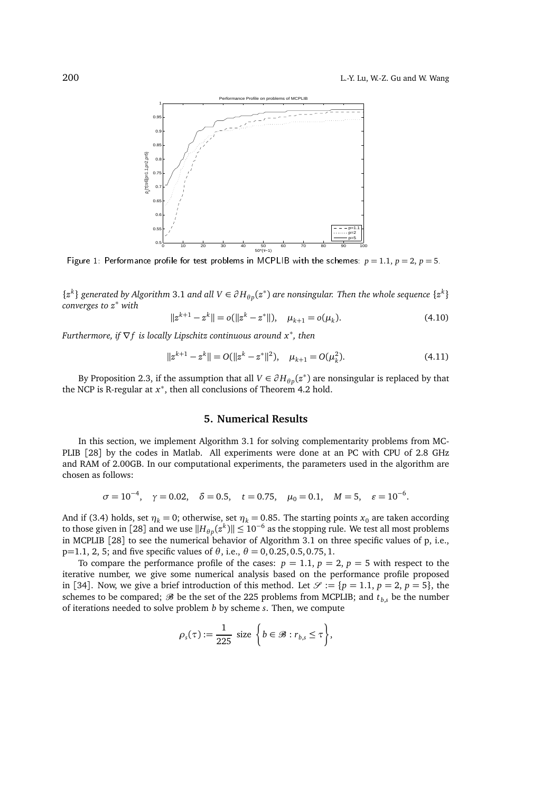

Figure 1: Performance profile for test problems in MCPLIB with the schemes:  $p = 1.1$ ,  $p = 2$ ,  $p = 5$ .

 $\{z^k\}$  generated by Algorithm 3.1 and all  $V ∈ ∂H_{\theta p}(z^*)$  are nonsingular. Then the whole sequence  $\{z^k\}$ *converges to z*<sup>∗</sup> *with*

$$
||z^{k+1} - z^k|| = o(||z^k - z^*||), \quad \mu_{k+1} = o(\mu_k). \tag{4.10}
$$

*Furthermore, if* ∇*f is locally Lipschitz continuous around x*<sup>∗</sup> *, then*

$$
||z^{k+1} - z^k|| = O(||z^k - z^*||^2), \quad \mu_{k+1} = O(\mu_k^2). \tag{4.11}
$$

By Proposition 2.3, if the assumption that all  $V \in \partial H_{\theta p}(z^*)$  are nonsingular is replaced by that the NCP is R-regular at *x* ∗ , then all conclusions of Theorem 4.2 hold.

## **5. Numerical Results**

In this section, we implement Algorithm 3.1 for solving complementarity problems from MC-PLIB [28] by the codes in Matlab. All experiments were done at an PC with CPU of 2.8 GHz and RAM of 2.00GB. In our computational experiments, the parameters used in the algorithm are chosen as follows:

$$
\sigma = 10^{-4}
$$
,  $\gamma = 0.02$ ,  $\delta = 0.5$ ,  $t = 0.75$ ,  $\mu_0 = 0.1$ ,  $M = 5$ ,  $\varepsilon = 10^{-6}$ .

And if (3.4) holds, set  $\eta_k = 0$ ; otherwise, set  $\eta_k = 0.85$ . The starting points  $x_0$  are taken according to those given in [28] and we use  $\|H_{\theta p}(z^k)\| \leq 10^{-6}$  as the stopping rule. We test all most problems in MCPLIB [28] to see the numerical behavior of Algorithm 3.1 on three specific values of p, i.e.,  $p=1.1, 2, 5$ ; and five specific values of  $θ$ , i.e.,  $θ = 0.0.25, 0.5, 0.75, 1$ .

To compare the performance profile of the cases:  $p = 1.1$ ,  $p = 2$ ,  $p = 5$  with respect to the iterative number, we give some numerical analysis based on the performance profile proposed in [34]. Now, we give a brief introduction of this method. Let  $\mathcal{S} := \{p = 1.1, p = 2, p = 5\}$ , the schemes to be compared;  $\mathcal{B}$  be the set of the 225 problems from MCPLIB; and  $t_{b,s}$  be the number of iterations needed to solve problem *b* by scheme *s*. Then, we compute

$$
\rho_s(\tau) := \frac{1}{225} \text{ size } \left\{ b \in \mathcal{B} : r_{b,s} \leq \tau \right\},\
$$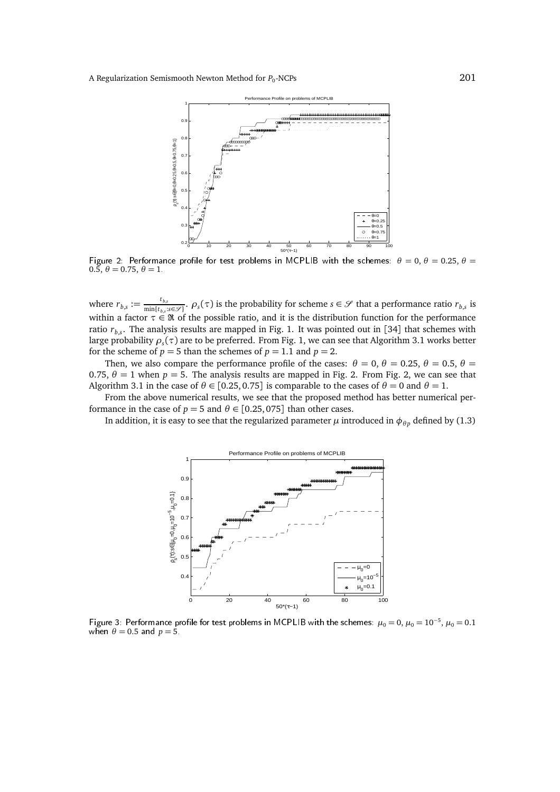

Figure 2: Performance profile for test problems in MCPLIB with the schemes:  $\theta = 0, \theta = 0.25, \theta = 0.25$  $0.5, \theta = 0.75, \theta = 1.$ 

where  $r_{b,s} := \frac{t_{b,s}}{\min\{t_s\}}$  $\frac{t_{b,s}}{\min\{t_{b,s}:s\in\mathscr{S}\}}$ .  $\rho_s(\tau)$  is the probability for scheme  $s\in\mathscr{S}$  that a performance ratio  $r_{b,s}$  is within a factor  $\tau \in \mathfrak{R}$  of the possible ratio, and it is the distribution function for the performance ratio *rb*,*<sup>s</sup>* . The analysis results are mapped in Fig. 1. It was pointed out in [34] that schemes with large probability *ρ<sup>s</sup>* (*τ*) are to be preferred. From Fig. 1, we can see that Algorithm 3.1 works better for the scheme of  $p = 5$  than the schemes of  $p = 1.1$  and  $p = 2$ .

Then, we also compare the performance profile of the cases:  $\theta = 0$ ,  $\theta = 0.25$ ,  $\theta = 0.5$ ,  $\theta =$ 0.75,  $\theta = 1$  when  $p = 5$ . The analysis results are mapped in Fig. 2. From Fig. 2, we can see that Algorithm 3.1 in the case of  $\theta \in [0.25, 0.75]$  is comparable to the cases of  $\theta = 0$  and  $\theta = 1$ .

From the above numerical results, we see that the proposed method has better numerical performance in the case of  $p = 5$  and  $\theta \in [0.25, 075]$  than other cases.

In addition, it is easy to see that the regularized parameter  $\mu$  introduced in  $\phi_{\theta p}$  defined by (1.3)



Figure 3: Performance profile for test problems in MCPLIB with the schemes:  $\mu_0 =$  0,  $\mu_0 =$  10<sup>−5</sup>,  $\mu_0 =$  0.1 when  $\theta = 0.5$  and  $p = 5$ .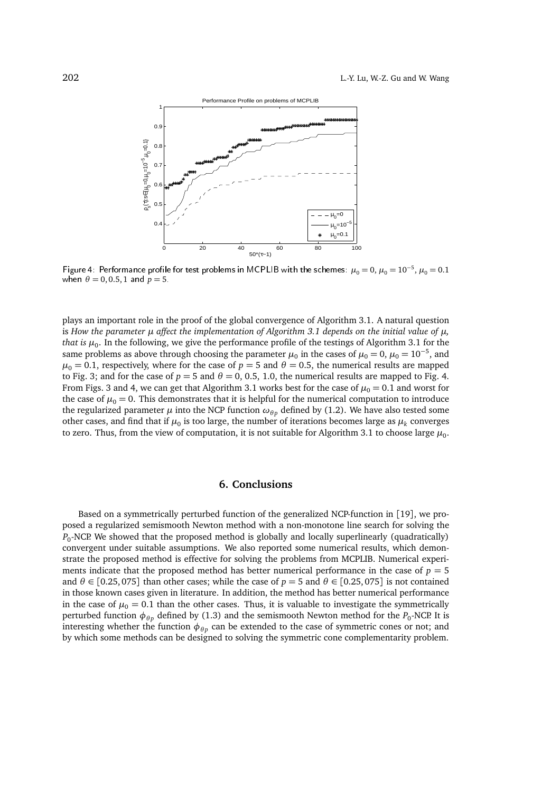

Figure 4: Performance profile for test problems in MCPLIB with the schemes:  $\mu_0 = 0$ ,  $\mu_0 = 10^{-5}$ ,  $\mu_0 = 0.1$ when  $\theta = 0, 0.5, 1$  and  $p = 5$ .

plays an important role in the proof of the global convergence of Algorithm 3.1. A natural question is *How the parameter*  $\mu$  *affect the implementation of Algorithm 3.1 depends on the initial value of*  $\mu$ *, that is µ*<sup>0</sup> . In the following, we give the performance profile of the testings of Algorithm 3.1 for the same problems as above through choosing the parameter  $\mu_0$  in the cases of  $\mu_0 = 0$ ,  $\mu_0 = 10^{-5}$ , and  $\mu_0 = 0.1$ , respectively, where for the case of  $p = 5$  and  $\theta = 0.5$ , the numerical results are mapped to Fig. 3; and for the case of  $p = 5$  and  $\theta = 0$ , 0.5, 1.0, the numerical results are mapped to Fig. 4. From Figs. 3 and 4, we can get that Algorithm 3.1 works best for the case of  $\mu_0 = 0.1$  and worst for the case of  $\mu_0 = 0$ . This demonstrates that it is helpful for the numerical computation to introduce the regularized parameter  $\mu$  into the NCP function  $\omega_{\theta p}$  defined by (1.2). We have also tested some other cases, and find that if  $\mu_0$  is too large, the number of iterations becomes large as  $\mu_k$  converges to zero. Thus, from the view of computation, it is not suitable for Algorithm 3.1 to choose large  $\mu_{0}.$ 

## **6. Conclusions**

Based on a symmetrically perturbed function of the generalized NCP-function in [19], we proposed a regularized semismooth Newton method with a non-monotone line search for solving the *P*0 -NCP. We showed that the proposed method is globally and locally superlinearly (quadratically) convergent under suitable assumptions. We also reported some numerical results, which demonstrate the proposed method is effective for solving the problems from MCPLIB. Numerical experiments indicate that the proposed method has better numerical performance in the case of  $p = 5$ and  $\theta \in [0.25, 075]$  than other cases; while the case of  $p = 5$  and  $\theta \in [0.25, 075]$  is not contained in those known cases given in literature. In addition, the method has better numerical performance in the case of  $\mu_0 = 0.1$  than the other cases. Thus, it is valuable to investigate the symmetrically perturbed function  $\phi_{\theta p}$  defined by (1.3) and the semismooth Newton method for the  $P_0$ -NCP. It is interesting whether the function  $\phi_{\theta p}$  can be extended to the case of symmetric cones or not; and by which some methods can be designed to solving the symmetric cone complementarity problem.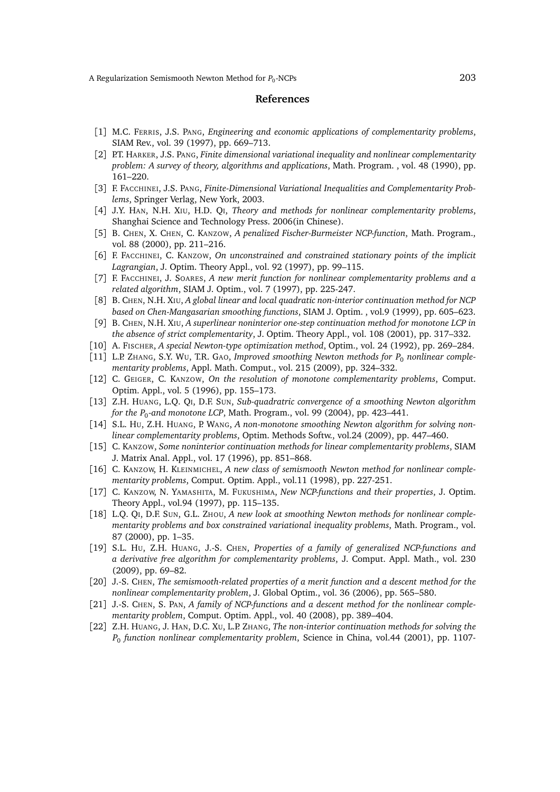#### **References**

- [1] M.C. FERRIS, J.S. PANG, *Engineering and economic applications of complementarity problems*, SIAM Rev., vol. 39 (1997), pp. 669–713.
- [2] P.T. HARKER, J.S. PANG, *Finite dimensional variational inequality and nonlinear complementarity problem: A survey of theory, algorithms and applications*, Math. Program. , vol. 48 (1990), pp. 161–220.
- [3] F. FACCHINEI, J.S. PANG, *Finite-Dimensional Variational Inequalities and Complementarity Problems*, Springer Verlag, New York, 2003.
- [4] J.Y. HAN, N.H. XIU, H.D. QI, *Theory and methods for nonlinear complementarity problems*, Shanghai Science and Technology Press. 2006(in Chinese).
- [5] B. CHEN, X. CHEN, C. KANZOW, *A penalized Fischer-Burmeister NCP-function*, Math. Program., vol. 88 (2000), pp. 211–216.
- [6] F. FACCHINEI, C. KANZOW, *On unconstrained and constrained stationary points of the implicit Lagrangian*, J. Optim. Theory Appl., vol. 92 (1997), pp. 99–115.
- [7] F. FACCHINEI, J. SOARES, *A new merit function for nonlinear complementarity problems and a related algorithm*, SIAM J. Optim., vol. 7 (1997), pp. 225-247.
- [8] B. CHEN, N.H. XIU, *A global linear and local quadratic non-interior continuation method for NCP based on Chen-Mangasarian smoothing functions*, SIAM J. Optim. , vol.9 (1999), pp. 605–623.
- [9] B. CHEN, N.H. XIU, *A superlinear noninterior one-step continuation method for monotone LCP in the absence of strict complementarity*, J. Optim. Theory Appl., vol. 108 (2001), pp. 317–332.
- [10] A. FISCHER, *A special Newton-type optimization method*, Optim., vol. 24 (1992), pp. 269–284.
- [11] L.P. ZHANG, S.Y. WU, T.R. GAO, *Improved smoothing Newton methods for P*<sup>0</sup> *nonlinear complementarity problems*, Appl. Math. Comput., vol. 215 (2009), pp. 324–332.
- [12] C. GEIGER, C. KANZOW, *On the resolution of monotone complementarity problems*, Comput. Optim. Appl., vol. 5 (1996), pp. 155–173.
- [13] Z.H. HUANG, L.Q. QI, D.F. SUN, *Sub-quadratric convergence of a smoothing Newton algorithm for the P*<sup>0</sup> *-and monotone LCP*, Math. Program., vol. 99 (2004), pp. 423–441.
- [14] S.L. HU, Z.H. HUANG, P. WANG, *A non-monotone smoothing Newton algorithm for solving nonlinear complementarity problems*, Optim. Methods Softw., vol.24 (2009), pp. 447–460.
- [15] C. KANZOW, *Some noninterior continuation methods for linear complementarity problems*, SIAM J. Matrix Anal. Appl., vol. 17 (1996), pp. 851–868.
- [16] C. KANZOW, H. KLEINMICHEL, *A new class of semismooth Newton method for nonlinear complementarity problems*, Comput. Optim. Appl., vol.11 (1998), pp. 227-251.
- [17] C. KANZOW, N. YAMASHITA, M. FUKUSHIMA, *New NCP-functions and their properties*, J. Optim. Theory Appl., vol.94 (1997), pp. 115–135.
- [18] L.Q. QI, D.F. SUN, G.L. ZHOU, *A new look at smoothing Newton methods for nonlinear complementarity problems and box constrained variational inequality problems*, Math. Program., vol. 87 (2000), pp. 1–35.
- [19] S.L. HU, Z.H. HUANG, J.-S. CHEN, *Properties of a family of generalized NCP-functions and a derivative free algorithm for complementarity problems*, J. Comput. Appl. Math., vol. 230 (2009), pp. 69–82.
- [20] J.-S. CHEN, *The semismooth-related properties of a merit function and a descent method for the nonlinear complementarity problem*, J. Global Optim., vol. 36 (2006), pp. 565–580.
- [21] J.-S. CHEN, S. PAN, A family of NCP-functions and a descent method for the nonlinear comple*mentarity problem*, Comput. Optim. Appl., vol. 40 (2008), pp. 389–404.
- [22] Z.H. HUANG, J. HAN, D.C. XU, L.P. ZHANG, *The non-interior continuation methods for solving the P*0 *function nonlinear complementarity problem*, Science in China, vol.44 (2001), pp. 1107-